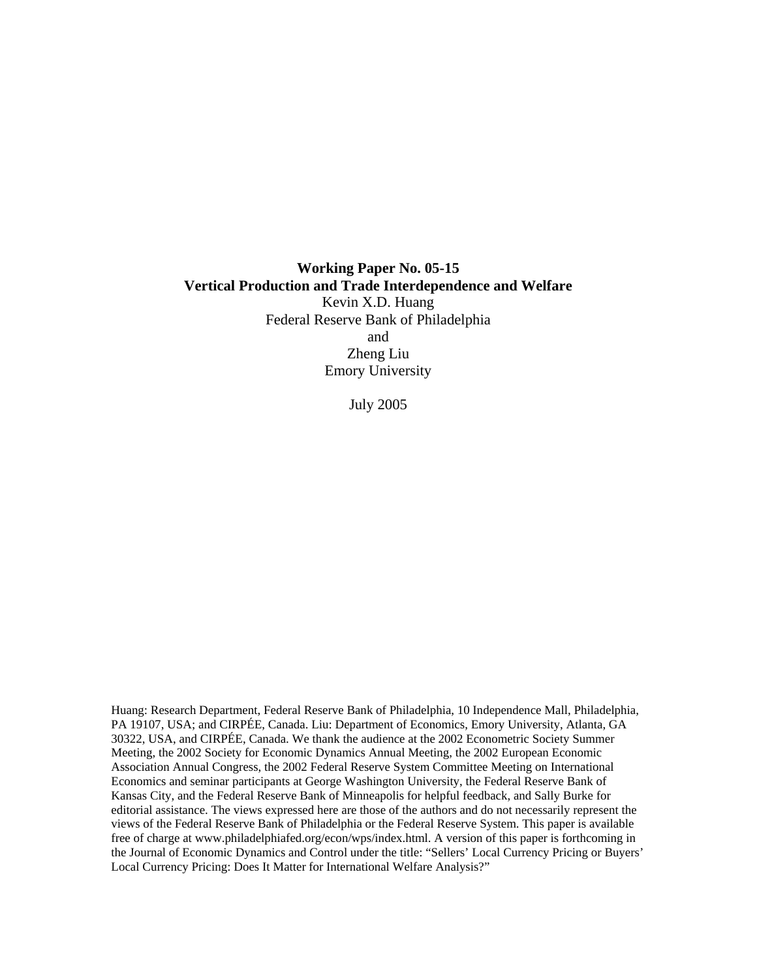# **Working Paper No. 05-15 Vertical Production and Trade Interdependence and Welfare**

Kevin X.D. Huang Federal Reserve Bank of Philadelphia and Zheng Liu Emory University

July 2005

Huang: Research Department, Federal Reserve Bank of Philadelphia, 10 Independence Mall, Philadelphia, PA 19107, USA; and CIRPÉE, Canada. Liu: Department of Economics, Emory University, Atlanta, GA 30322, USA, and CIRPÉE, Canada. We thank the audience at the 2002 Econometric Society Summer Meeting, the 2002 Society for Economic Dynamics Annual Meeting, the 2002 European Economic Association Annual Congress, the 2002 Federal Reserve System Committee Meeting on International Economics and seminar participants at George Washington University, the Federal Reserve Bank of Kansas City, and the Federal Reserve Bank of Minneapolis for helpful feedback, and Sally Burke for editorial assistance. The views expressed here are those of the authors and do not necessarily represent the views of the Federal Reserve Bank of Philadelphia or the Federal Reserve System. This paper is available free of charge at [www.philadelphiafed.org/econ/wps/index.html](http://www.philadelphiafed.org/econ/wps/index.html). A version of this paper is forthcoming in the Journal of Economic Dynamics and Control under the title: "Sellers' Local Currency Pricing or Buyers' Local Currency Pricing: Does It Matter for International Welfare Analysis?"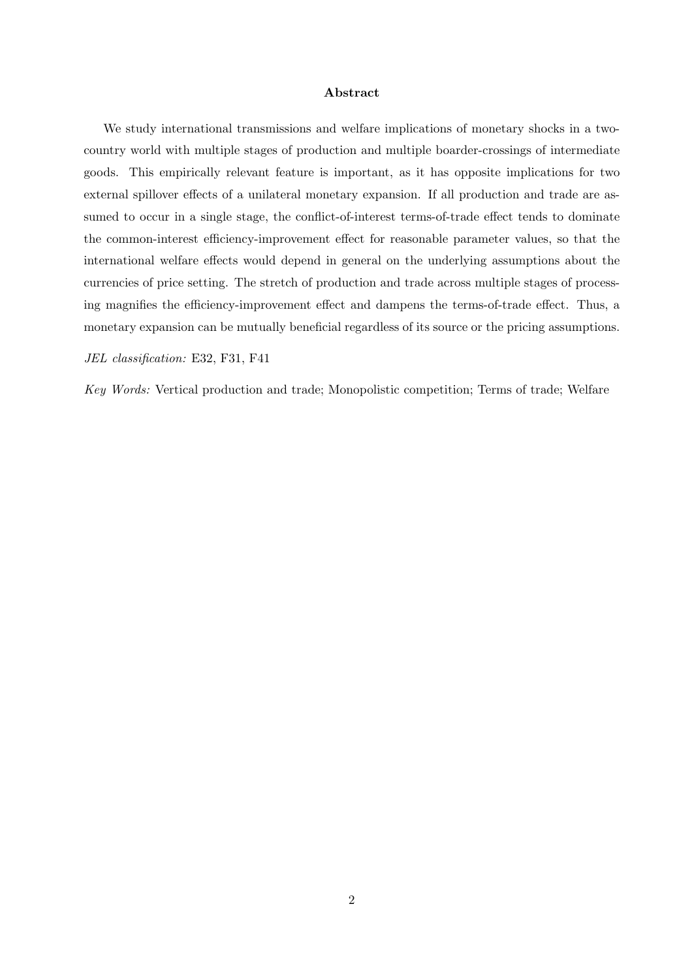### Abstract

We study international transmissions and welfare implications of monetary shocks in a twocountry world with multiple stages of production and multiple boarder-crossings of intermediate goods. This empirically relevant feature is important, as it has opposite implications for two external spillover effects of a unilateral monetary expansion. If all production and trade are assumed to occur in a single stage, the conflict-of-interest terms-of-trade effect tends to dominate the common-interest efficiency-improvement effect for reasonable parameter values, so that the international welfare effects would depend in general on the underlying assumptions about the currencies of price setting. The stretch of production and trade across multiple stages of processing magnifies the efficiency-improvement effect and dampens the terms-of-trade effect. Thus, a monetary expansion can be mutually beneficial regardless of its source or the pricing assumptions.

#### JEL classification: E32, F31, F41

Key Words: Vertical production and trade; Monopolistic competition; Terms of trade; Welfare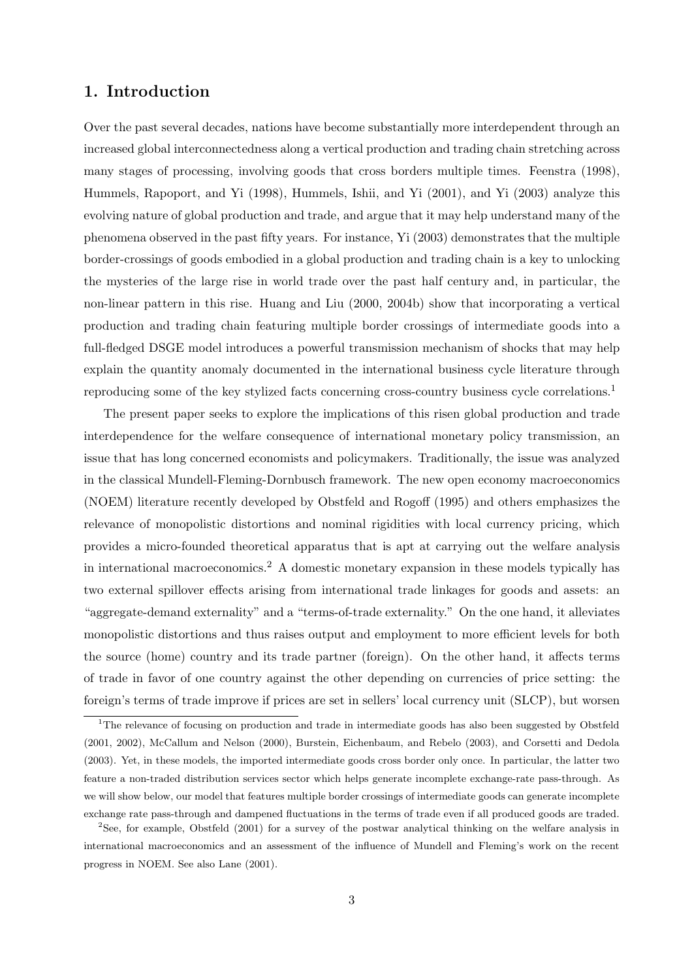# 1. Introduction

Over the past several decades, nations have become substantially more interdependent through an increased global interconnectedness along a vertical production and trading chain stretching across many stages of processing, involving goods that cross borders multiple times. Feenstra (1998), Hummels, Rapoport, and Yi (1998), Hummels, Ishii, and Yi (2001), and Yi (2003) analyze this evolving nature of global production and trade, and argue that it may help understand many of the phenomena observed in the past fifty years. For instance, Yi (2003) demonstrates that the multiple border-crossings of goods embodied in a global production and trading chain is a key to unlocking the mysteries of the large rise in world trade over the past half century and, in particular, the non-linear pattern in this rise. Huang and Liu (2000, 2004b) show that incorporating a vertical production and trading chain featuring multiple border crossings of intermediate goods into a full-fledged DSGE model introduces a powerful transmission mechanism of shocks that may help explain the quantity anomaly documented in the international business cycle literature through reproducing some of the key stylized facts concerning cross-country business cycle correlations.<sup>1</sup>

The present paper seeks to explore the implications of this risen global production and trade interdependence for the welfare consequence of international monetary policy transmission, an issue that has long concerned economists and policymakers. Traditionally, the issue was analyzed in the classical Mundell-Fleming-Dornbusch framework. The new open economy macroeconomics (NOEM) literature recently developed by Obstfeld and Rogoff (1995) and others emphasizes the relevance of monopolistic distortions and nominal rigidities with local currency pricing, which provides a micro-founded theoretical apparatus that is apt at carrying out the welfare analysis in international macroeconomics.<sup>2</sup> A domestic monetary expansion in these models typically has two external spillover effects arising from international trade linkages for goods and assets: an "aggregate-demand externality" and a "terms-of-trade externality." On the one hand, it alleviates monopolistic distortions and thus raises output and employment to more efficient levels for both the source (home) country and its trade partner (foreign). On the other hand, it affects terms of trade in favor of one country against the other depending on currencies of price setting: the foreign's terms of trade improve if prices are set in sellers' local currency unit (SLCP), but worsen

<sup>&</sup>lt;sup>1</sup>The relevance of focusing on production and trade in intermediate goods has also been suggested by Obstfeld (2001, 2002), McCallum and Nelson (2000), Burstein, Eichenbaum, and Rebelo (2003), and Corsetti and Dedola (2003). Yet, in these models, the imported intermediate goods cross border only once. In particular, the latter two feature a non-traded distribution services sector which helps generate incomplete exchange-rate pass-through. As we will show below, our model that features multiple border crossings of intermediate goods can generate incomplete exchange rate pass-through and dampened fluctuations in the terms of trade even if all produced goods are traded.

<sup>2</sup>See, for example, Obstfeld (2001) for a survey of the postwar analytical thinking on the welfare analysis in international macroeconomics and an assessment of the influence of Mundell and Fleming's work on the recent progress in NOEM. See also Lane (2001).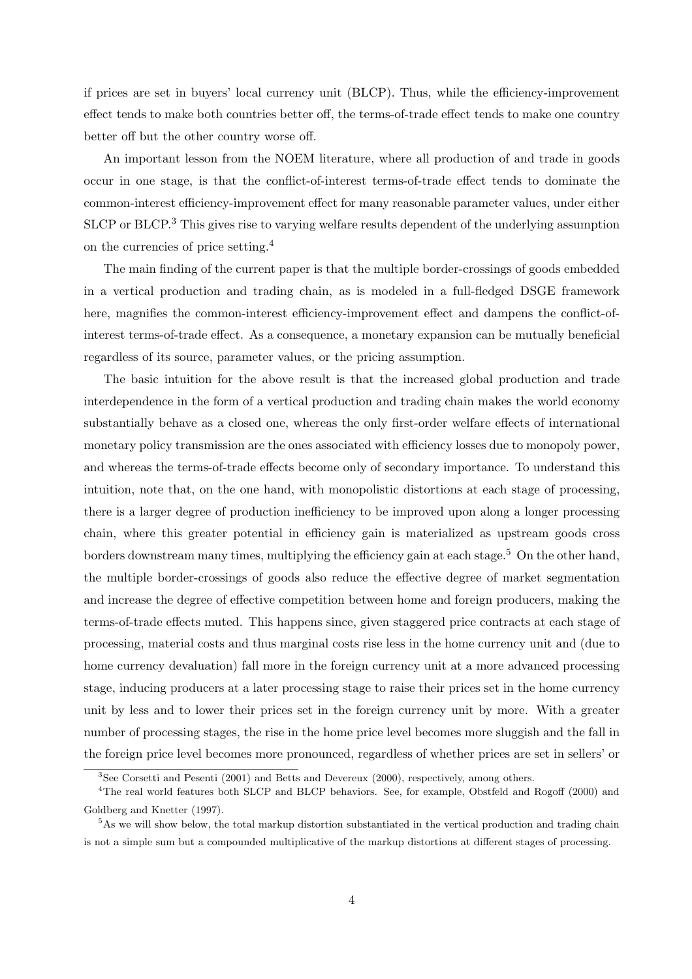if prices are set in buyers' local currency unit (BLCP). Thus, while the efficiency-improvement effect tends to make both countries better off, the terms-of-trade effect tends to make one country better off but the other country worse off.

An important lesson from the NOEM literature, where all production of and trade in goods occur in one stage, is that the conflict-of-interest terms-of-trade effect tends to dominate the common-interest efficiency-improvement effect for many reasonable parameter values, under either SLCP or BLCP.<sup>3</sup> This gives rise to varying welfare results dependent of the underlying assumption on the currencies of price setting.<sup>4</sup>

The main finding of the current paper is that the multiple border-crossings of goods embedded in a vertical production and trading chain, as is modeled in a full-fledged DSGE framework here, magnifies the common-interest efficiency-improvement effect and dampens the conflict-ofinterest terms-of-trade effect. As a consequence, a monetary expansion can be mutually beneficial regardless of its source, parameter values, or the pricing assumption.

The basic intuition for the above result is that the increased global production and trade interdependence in the form of a vertical production and trading chain makes the world economy substantially behave as a closed one, whereas the only first-order welfare effects of international monetary policy transmission are the ones associated with efficiency losses due to monopoly power, and whereas the terms-of-trade effects become only of secondary importance. To understand this intuition, note that, on the one hand, with monopolistic distortions at each stage of processing, there is a larger degree of production inefficiency to be improved upon along a longer processing chain, where this greater potential in efficiency gain is materialized as upstream goods cross borders downstream many times, multiplying the efficiency gain at each stage.<sup>5</sup> On the other hand, the multiple border-crossings of goods also reduce the effective degree of market segmentation and increase the degree of effective competition between home and foreign producers, making the terms-of-trade effects muted. This happens since, given staggered price contracts at each stage of processing, material costs and thus marginal costs rise less in the home currency unit and (due to home currency devaluation) fall more in the foreign currency unit at a more advanced processing stage, inducing producers at a later processing stage to raise their prices set in the home currency unit by less and to lower their prices set in the foreign currency unit by more. With a greater number of processing stages, the rise in the home price level becomes more sluggish and the fall in the foreign price level becomes more pronounced, regardless of whether prices are set in sellers' or

<sup>3</sup>See Corsetti and Pesenti (2001) and Betts and Devereux (2000), respectively, among others.

<sup>&</sup>lt;sup>4</sup>The real world features both SLCP and BLCP behaviors. See, for example, Obstfeld and Rogoff (2000) and Goldberg and Knetter (1997).

 $5$ As we will show below, the total markup distortion substantiated in the vertical production and trading chain is not a simple sum but a compounded multiplicative of the markup distortions at different stages of processing.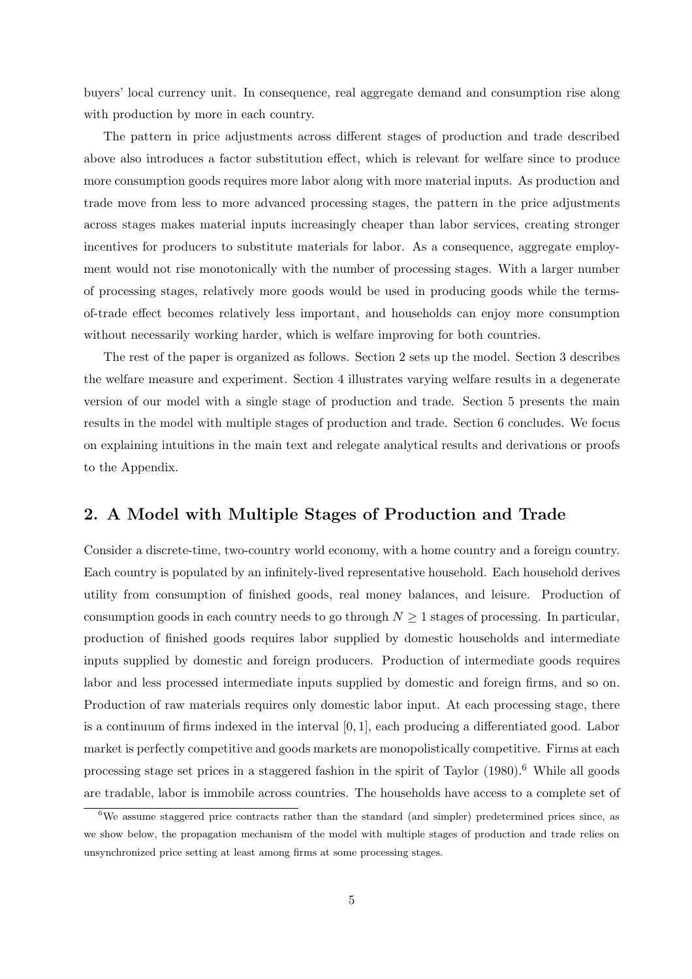buyers' local currency unit. In consequence, real aggregate demand and consumption rise along with production by more in each country.

The pattern in price adjustments across different stages of production and trade described above also introduces a factor substitution effect, which is relevant for welfare since to produce more consumption goods requires more labor along with more material inputs. As production and trade move from less to more advanced processing stages, the pattern in the price adjustments across stages makes material inputs increasingly cheaper than labor services, creating stronger incentives for producers to substitute materials for labor. As a consequence, aggregate employment would not rise monotonically with the number of processing stages. With a larger number of processing stages, relatively more goods would be used in producing goods while the termsof-trade effect becomes relatively less important, and households can enjoy more consumption without necessarily working harder, which is welfare improving for both countries.

The rest of the paper is organized as follows. Section 2 sets up the model. Section 3 describes the welfare measure and experiment. Section 4 illustrates varying welfare results in a degenerate version of our model with a single stage of production and trade. Section 5 presents the main results in the model with multiple stages of production and trade. Section 6 concludes. We focus on explaining intuitions in the main text and relegate analytical results and derivations or proofs to the Appendix.

### 2. A Model with Multiple Stages of Production and Trade

Consider a discrete-time, two-country world economy, with a home country and a foreign country. Each country is populated by an infinitely-lived representative household. Each household derives utility from consumption of finished goods, real money balances, and leisure. Production of consumption goods in each country needs to go through  $N \geq 1$  stages of processing. In particular, production of finished goods requires labor supplied by domestic households and intermediate inputs supplied by domestic and foreign producers. Production of intermediate goods requires labor and less processed intermediate inputs supplied by domestic and foreign firms, and so on. Production of raw materials requires only domestic labor input. At each processing stage, there is a continuum of firms indexed in the interval  $[0, 1]$ , each producing a differentiated good. Labor market is perfectly competitive and goods markets are monopolistically competitive. Firms at each processing stage set prices in a staggered fashion in the spirit of Taylor (1980).<sup>6</sup> While all goods are tradable, labor is immobile across countries. The households have access to a complete set of

<sup>&</sup>lt;sup>6</sup>We assume staggered price contracts rather than the standard (and simpler) predetermined prices since, as we show below, the propagation mechanism of the model with multiple stages of production and trade relies on unsynchronized price setting at least among firms at some processing stages.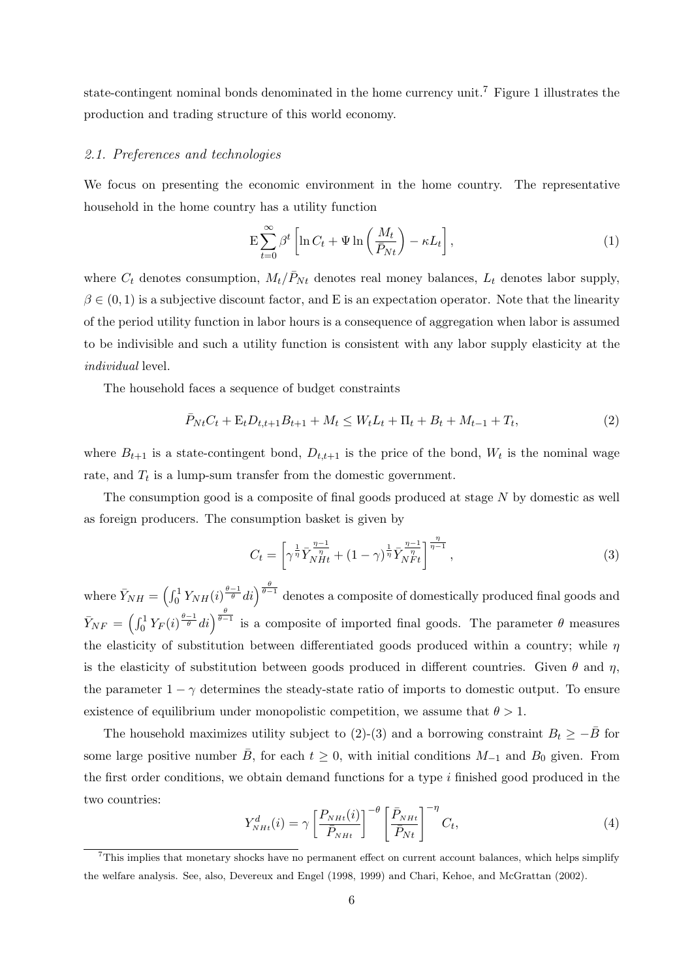state-contingent nominal bonds denominated in the home currency unit.<sup>7</sup> Figure 1 illustrates the production and trading structure of this world economy.

#### 2.1. Preferences and technologies

We focus on presenting the economic environment in the home country. The representative household in the home country has a utility function

$$
\mathcal{E}\sum_{t=0}^{\infty}\beta^{t}\left[\ln C_{t}+\Psi\ln\left(\frac{M_{t}}{\bar{P}_{Nt}}\right)-\kappa L_{t}\right],\tag{1}
$$

where  $C_t$  denotes consumption,  $M_t/\bar{P}_{Nt}$  denotes real money balances,  $L_t$  denotes labor supply,  $\beta \in (0, 1)$  is a subjective discount factor, and E is an expectation operator. Note that the linearity of the period utility function in labor hours is a consequence of aggregation when labor is assumed to be indivisible and such a utility function is consistent with any labor supply elasticity at the individual level.

The household faces a sequence of budget constraints

$$
\bar{P}_{Nt}C_t + \mathcal{E}_t D_{t,t+1}B_{t+1} + M_t \le W_t L_t + \Pi_t + B_t + M_{t-1} + T_t, \tag{2}
$$

where  $B_{t+1}$  is a state-contingent bond,  $D_{t,t+1}$  is the price of the bond,  $W_t$  is the nominal wage rate, and  $T_t$  is a lump-sum transfer from the domestic government.

The consumption good is a composite of final goods produced at stage N by domestic as well as foreign producers. The consumption basket is given by

$$
C_t = \left[ \gamma^{\frac{1}{\eta}} \bar{Y}_{NHt}^{\frac{\eta-1}{\eta}} + (1 - \gamma)^{\frac{1}{\eta}} \bar{Y}_{NFt}^{\frac{\eta-1}{\eta}} \right]^{\frac{\eta}{\eta-1}}, \tag{3}
$$

where  $\bar{Y}_{NH} = \left(\int_0^1$  $\int_0^1 Y_{NH}(i)^{\theta-1 \over \theta-d} \, d{\hat{n}} \bigg]^{ \theta \over \theta-1}$  denotes a composite of domestically produced final goods and  $\bar{Y}_{NF} = \left(\int_0^1$  $\int_0^1 Y_F(i)^{\frac{\theta-1}{\theta}} di$  is a composite of imported final goods. The parameter  $\theta$  measures the elasticity of substitution between differentiated goods produced within a country; while  $\eta$ is the elasticity of substitution between goods produced in different countries. Given  $\theta$  and  $\eta$ , the parameter  $1 - \gamma$  determines the steady-state ratio of imports to domestic output. To ensure existence of equilibrium under monopolistic competition, we assume that  $\theta > 1$ .

The household maximizes utility subject to (2)-(3) and a borrowing constraint  $B_t \geq -\bar{B}$  for some large positive number  $\bar{B}$ , for each  $t \geq 0$ , with initial conditions  $M_{-1}$  and  $B_0$  given. From the first order conditions, we obtain demand functions for a type  $i$  finished good produced in the two countries: .<br> $\overline{r}$ 

$$
Y_{NHt}^d(i) = \gamma \left[ \frac{P_{NHt}(i)}{\bar{P}_{NHt}} \right]^{-\theta} \left[ \frac{\bar{P}_{NHt}}{\bar{P}_{Nt}} \right]^{-\eta} C_t, \tag{4}
$$

<sup>&</sup>lt;sup>7</sup>This implies that monetary shocks have no permanent effect on current account balances, which helps simplify the welfare analysis. See, also, Devereux and Engel (1998, 1999) and Chari, Kehoe, and McGrattan (2002).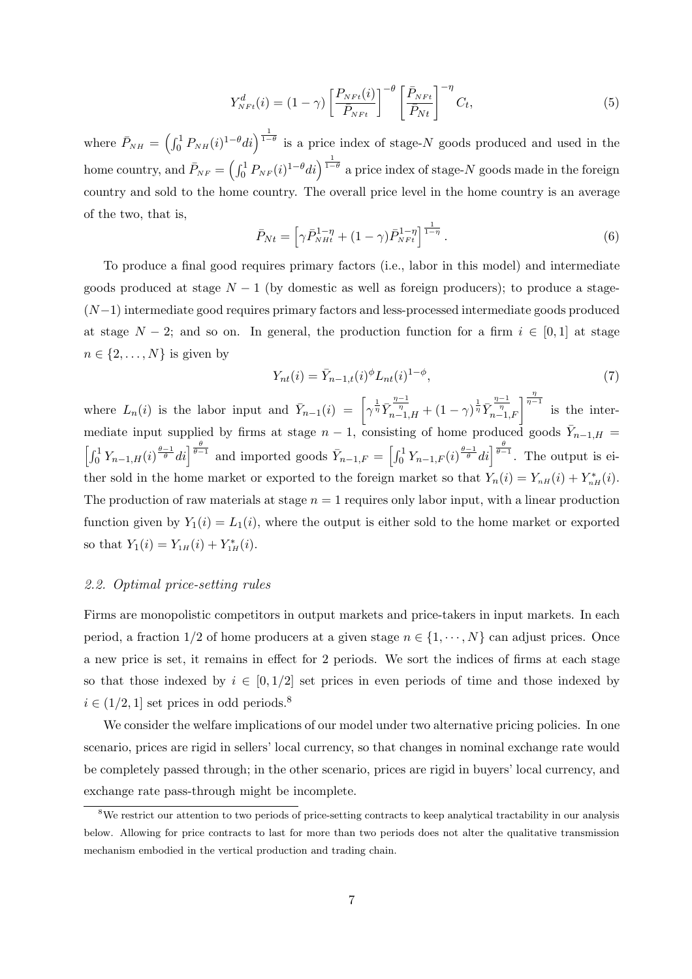$$
Y_{NFt}^{d}(i) = (1 - \gamma) \left[ \frac{P_{NFt}(i)}{\bar{P}_{NFt}} \right]^{-\theta} \left[ \frac{\bar{P}_{NFt}}{\bar{P}_{Nt}} \right]^{-\eta} C_t, \tag{5}
$$

where  $\bar{P}_{NH} = \left(\int_0^1$  $\int_0^1 P_{NH}(i)^{1-\theta}di\bigg)^{\frac{1}{1-\theta}}$  is a price index of stage-N goods produced and used in the home country, and  $\bar{P}_{NF} = \int_0^1$  $\int_0^1 P_{NF}(i)^{1-\theta} di \bigg)^{\frac{1}{1-\theta}}$  a price index of stage-N goods made in the foreign country and sold to the home country. The overall price level in the home country is an average of the two, that is,

$$
\bar{P}_{Nt} = \left[ \gamma \bar{P}_{NHt}^{1-\eta} + (1-\gamma) \bar{P}_{NFt}^{1-\eta} \right]^{\frac{1}{1-\eta}}.
$$
\n(6)

To produce a final good requires primary factors (i.e., labor in this model) and intermediate goods produced at stage  $N-1$  (by domestic as well as foreign producers); to produce a stage- $(N-1)$  intermediate good requires primary factors and less-processed intermediate goods produced at stage  $N-2$ ; and so on. In general, the production function for a firm  $i \in [0,1]$  at stage  $n \in \{2, \ldots, N\}$  is given by

$$
Y_{nt}(i) = \bar{Y}_{n-1,t}(i)^{\phi} L_{nt}(i)^{1-\phi},\tag{7}
$$

where  $L_n(i)$  is the labor input and  $\bar{Y}_{n-1}(i) = \left[ \gamma^{\frac{1}{\eta}} \bar{Y}_{n-1,H}^{\frac{\eta-1}{\eta}} + (1-\gamma)^{\frac{1}{\eta}} \bar{Y}_{n-1,H}^{\frac{\eta-1}{\eta}} \right]$  $\left[\frac{\eta-1}{\eta}\right]$   $\left[\frac{\eta}{\eta-1}\right]$  $\frac{1}{\eta-1}$  is the intermediate input supplied by firms at stage  $n-1$ , consisting of home produced goods  $\bar{Y}_{n-1,H}$  =  $\lceil r^1 \rceil$  $\sum_{0}^{1} Y_{n-1,H}(i) \frac{\theta-1}{\theta} di \Big|_0^{\theta-1}$  and imported goods  $\bar{Y}_{n-1,F} = \left[ \int_0^1$  $\int_0^1 Y_{n-1,F}(i)^{\theta-1} d\tilde{i} \, d\tilde{j}^{\theta-1}$ . The output is either sold in the home market or exported to the foreign market so that  $Y_n(i) = Y_{nH}(i) + Y_{nH}^*(i)$ . The production of raw materials at stage  $n = 1$  requires only labor input, with a linear production function given by  $Y_1(i) = L_1(i)$ , where the output is either sold to the home market or exported so that  $Y_1(i) = Y_{1H}(i) + Y_{1H}^*(i)$ .

#### 2.2. Optimal price-setting rules

Firms are monopolistic competitors in output markets and price-takers in input markets. In each period, a fraction 1/2 of home producers at a given stage  $n \in \{1, \dots, N\}$  can adjust prices. Once a new price is set, it remains in effect for 2 periods. We sort the indices of firms at each stage so that those indexed by  $i \in [0, 1/2]$  set prices in even periods of time and those indexed by  $i \in (1/2, 1]$  set prices in odd periods.<sup>8</sup>

We consider the welfare implications of our model under two alternative pricing policies. In one scenario, prices are rigid in sellers' local currency, so that changes in nominal exchange rate would be completely passed through; in the other scenario, prices are rigid in buyers' local currency, and exchange rate pass-through might be incomplete.

<sup>&</sup>lt;sup>8</sup>We restrict our attention to two periods of price-setting contracts to keep analytical tractability in our analysis below. Allowing for price contracts to last for more than two periods does not alter the qualitative transmission mechanism embodied in the vertical production and trading chain.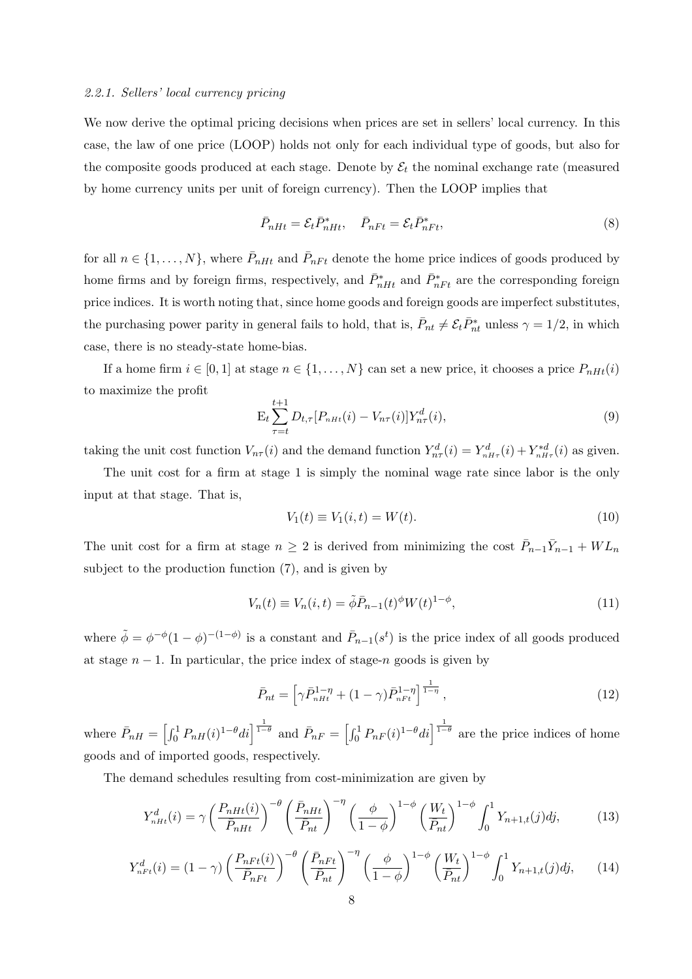#### 2.2.1. Sellers' local currency pricing

We now derive the optimal pricing decisions when prices are set in sellers' local currency. In this case, the law of one price (LOOP) holds not only for each individual type of goods, but also for the composite goods produced at each stage. Denote by  $\mathcal{E}_t$  the nominal exchange rate (measured by home currency units per unit of foreign currency). Then the LOOP implies that

$$
\bar{P}_{nHt} = \mathcal{E}_t \bar{P}_{nHt}^*, \quad \bar{P}_{nFt} = \mathcal{E}_t \bar{P}_{nFt}^*, \tag{8}
$$

for all  $n \in \{1, \ldots, N\}$ , where  $\bar{P}_{nHt}$  and  $\bar{P}_{nFt}$  denote the home price indices of goods produced by home firms and by foreign firms, respectively, and  $\bar{P}_{nHt}^*$  and  $\bar{P}_{nFt}^*$  are the corresponding foreign price indices. It is worth noting that, since home goods and foreign goods are imperfect substitutes, the purchasing power parity in general fails to hold, that is,  $\bar{P}_{nt} \neq \mathcal{E}_t \bar{P}_{nt}^*$  unless  $\gamma = 1/2$ , in which case, there is no steady-state home-bias.

If a home firm  $i \in [0,1]$  at stage  $n \in \{1,\ldots,N\}$  can set a new price, it chooses a price  $P_{nHt}(i)$ to maximize the profit

$$
E_t \sum_{\tau=t}^{t+1} D_{t,\tau} [P_{nHt}(i) - V_{n\tau}(i)] Y_{n\tau}^d(i), \tag{9}
$$

taking the unit cost function  $V_{n\tau}(i)$  and the demand function  $Y_{n\tau}^d(i) = Y_{nH\tau}^d(i) + Y_{nH\tau}^{*d}(i)$  as given.

The unit cost for a firm at stage 1 is simply the nominal wage rate since labor is the only input at that stage. That is,

$$
V_1(t) \equiv V_1(i, t) = W(t).
$$
\n(10)

The unit cost for a firm at stage  $n \geq 2$  is derived from minimizing the cost  $\bar{P}_{n-1}\bar{Y}_{n-1} + WL_n$ subject to the production function (7), and is given by

$$
V_n(t) \equiv V_n(i, t) = \tilde{\phi}\bar{P}_{n-1}(t)^{\phi}W(t)^{1-\phi},
$$
\n(11)

where  $\tilde{\phi} = \phi^{-\phi}(1-\phi)^{-(1-\phi)}$  is a constant and  $\bar{P}_{n-1}(s^t)$  is the price index of all goods produced at stage  $n - 1$ . In particular, the price index of stage-n goods is given by

$$
\bar{P}_{nt} = \left[ \gamma \bar{P}_{nHt}^{1-\eta} + (1-\gamma) \bar{P}_{nFt}^{1-\eta} \right]^{\frac{1}{1-\eta}}, \qquad (12)
$$

where  $\bar{P}_{nH} = \left[\int_0^1$  $\int_0^1 P_{nH}(i)^{1-\theta}di\Big]^{1-\theta}$  and  $\bar{P}_{nF} = \int_0^1 f_0$  $\int_0^1 P_{nF}(i)^{1-\theta}di\Big]^{1-\theta}$  are the price indices of home goods and of imported goods, respectively.

The demand schedules resulting from cost-minimization are given by

$$
Y_{nHt}^d(i) = \gamma \left(\frac{P_{nHt}(i)}{\bar{P}_{nHt}}\right)^{-\theta} \left(\frac{\bar{P}_{nHt}}{\bar{P}_{nt}}\right)^{-\eta} \left(\frac{\phi}{1-\phi}\right)^{1-\phi} \left(\frac{W_t}{\bar{P}_{nt}}\right)^{1-\phi} \int_0^1 Y_{n+1,t}(j)dj,\tag{13}
$$

$$
Y_{nFt}^d(i) = (1 - \gamma) \left(\frac{P_{nFt}(i)}{\bar{P}_{nFt}}\right)^{-\theta} \left(\frac{\bar{P}_{nFt}}{\bar{P}_{nt}}\right)^{-\eta} \left(\frac{\phi}{1 - \phi}\right)^{1 - \phi} \left(\frac{W_t}{\bar{P}_{nt}}\right)^{1 - \phi} \int_0^1 Y_{n+1,t}(j)dj, \qquad (14)
$$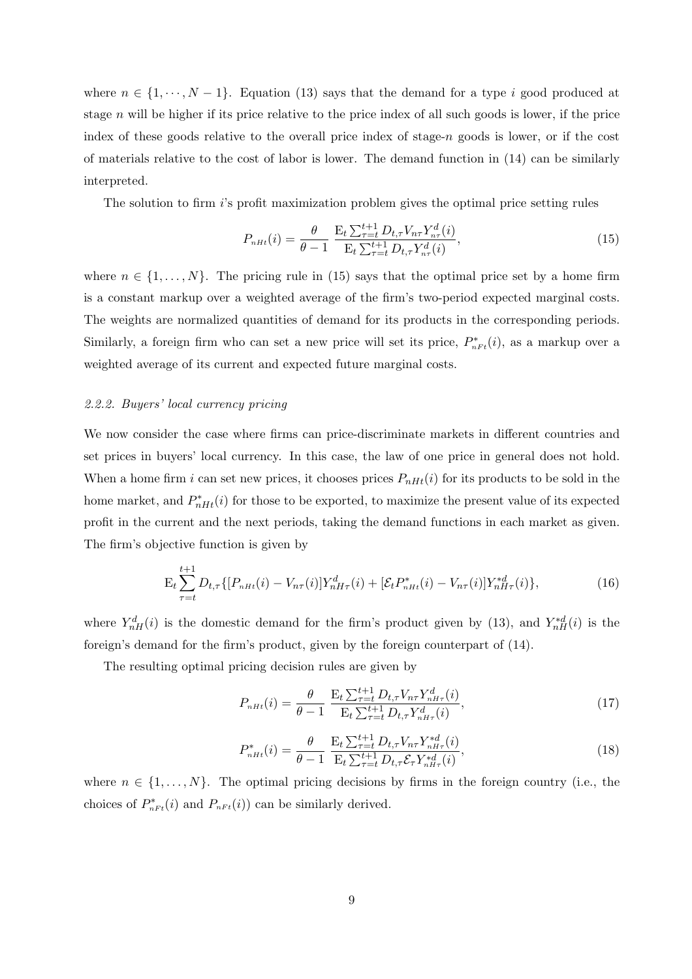where  $n \in \{1, \dots, N-1\}$ . Equation (13) says that the demand for a type i good produced at stage  $n$  will be higher if its price relative to the price index of all such goods is lower, if the price index of these goods relative to the overall price index of stage-n goods is lower, or if the cost of materials relative to the cost of labor is lower. The demand function in (14) can be similarly interpreted.

The solution to firm i's profit maximization problem gives the optimal price setting rules

$$
P_{nHt}(i) = \frac{\theta}{\theta - 1} \frac{\mathcal{E}_t \sum_{\tau=t}^{t+1} D_{t,\tau} V_{n\tau} Y_{n\tau}^d(i)}{\mathcal{E}_t \sum_{\tau=t}^{t+1} D_{t,\tau} Y_{n\tau}^d(i)},
$$
(15)

where  $n \in \{1, \ldots, N\}$ . The pricing rule in (15) says that the optimal price set by a home firm is a constant markup over a weighted average of the firm's two-period expected marginal costs. The weights are normalized quantities of demand for its products in the corresponding periods. Similarly, a foreign firm who can set a new price will set its price,  $P_{nFt}^*(i)$ , as a markup over a weighted average of its current and expected future marginal costs.

### 2.2.2. Buyers' local currency pricing

We now consider the case where firms can price-discriminate markets in different countries and set prices in buyers' local currency. In this case, the law of one price in general does not hold. When a home firm i can set new prices, it chooses prices  $P_{nHt}(i)$  for its products to be sold in the home market, and  $P_{nHt}^*(i)$  for those to be exported, to maximize the present value of its expected profit in the current and the next periods, taking the demand functions in each market as given. The firm's objective function is given by

$$
E_t \sum_{\tau=t}^{t+1} D_{t,\tau} \{ [P_{nHt}(i) - V_{n\tau}(i)] Y_{nH\tau}^d(i) + [\mathcal{E}_t P_{nHt}^*(i) - V_{n\tau}(i)] Y_{nH\tau}^{*d}(i) \},
$$
\n(16)

where  $Y_{nH}^d(i)$  is the domestic demand for the firm's product given by (13), and  $Y_{nH}^{*d}(i)$  is the foreign's demand for the firm's product, given by the foreign counterpart of (14).

The resulting optimal pricing decision rules are given by

$$
P_{nHt}(i) = \frac{\theta}{\theta - 1} \frac{\mathbf{E}_t \sum_{\tau=t}^{t+1} D_{t,\tau} V_{n\tau} Y_{nH\tau}^d(i)}{\mathbf{E}_t \sum_{\tau=t}^{t+1} D_{t,\tau} Y_{nH\tau}^d(i)},
$$
(17)

$$
P_{nHt}^{*}(i) = \frac{\theta}{\theta - 1} \frac{\mathbf{E}_{t} \sum_{\tau=t}^{t+1} D_{t,\tau} V_{n\tau} Y_{nH\tau}^{*d}(i)}{\mathbf{E}_{t} \sum_{\tau=t}^{t+1} D_{t,\tau} \mathcal{E}_{\tau} Y_{nH\tau}^{*d}(i)},
$$
(18)

where  $n \in \{1, \ldots, N\}$ . The optimal pricing decisions by firms in the foreign country (i.e., the choices of  $P_{nFt}^*(i)$  and  $P_{nFt}(i)$  can be similarly derived.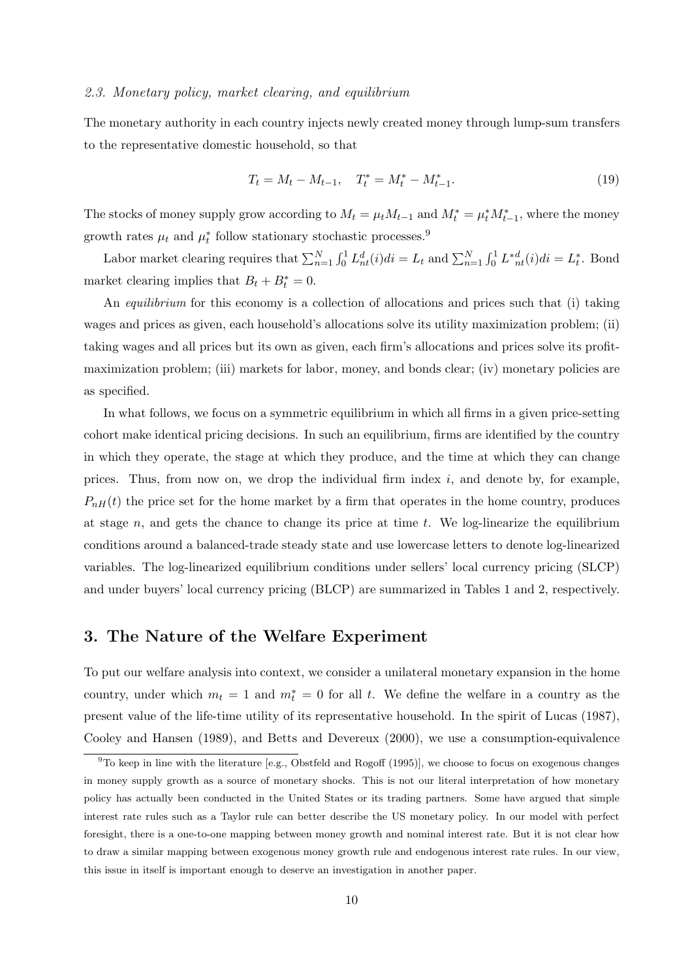#### 2.3. Monetary policy, market clearing, and equilibrium

The monetary authority in each country injects newly created money through lump-sum transfers to the representative domestic household, so that

$$
T_t = M_t - M_{t-1}, \quad T_t^* = M_t^* - M_{t-1}^*.
$$
\n
$$
(19)
$$

The stocks of money supply grow according to  $M_t = \mu_t M_{t-1}$  and  $M_t^* = \mu_t^* M_{t-1}^*$ , where the money growth rates  $\mu_t$  and  $\mu_t^*$  follow stationary stochastic processes.<sup>9</sup>

Labor market clearing requires that  $\sum_{n=1}^{N} \int_0^1 L_{nt}^d(i)di = L_t$  and  $\sum_{n=1}^{N} \int_0^1 L_{nt}^*i(i)di = L_t^*$ . Bond market clearing implies that  $B_t + B_t^* = 0$ .

An *equilibrium* for this economy is a collection of allocations and prices such that (i) taking wages and prices as given, each household's allocations solve its utility maximization problem; (ii) taking wages and all prices but its own as given, each firm's allocations and prices solve its profitmaximization problem; (iii) markets for labor, money, and bonds clear; (iv) monetary policies are as specified.

In what follows, we focus on a symmetric equilibrium in which all firms in a given price-setting cohort make identical pricing decisions. In such an equilibrium, firms are identified by the country in which they operate, the stage at which they produce, and the time at which they can change prices. Thus, from now on, we drop the individual firm index  $i$ , and denote by, for example,  $P_{nH}(t)$  the price set for the home market by a firm that operates in the home country, produces at stage  $n$ , and gets the chance to change its price at time  $t$ . We log-linearize the equilibrium conditions around a balanced-trade steady state and use lowercase letters to denote log-linearized variables. The log-linearized equilibrium conditions under sellers' local currency pricing (SLCP) and under buyers' local currency pricing (BLCP) are summarized in Tables 1 and 2, respectively.

### 3. The Nature of the Welfare Experiment

To put our welfare analysis into context, we consider a unilateral monetary expansion in the home country, under which  $m_t = 1$  and  $m_t^* = 0$  for all t. We define the welfare in a country as the present value of the life-time utility of its representative household. In the spirit of Lucas (1987), Cooley and Hansen (1989), and Betts and Devereux (2000), we use a consumption-equivalence

 $9T$ o keep in line with the literature [e.g., Obstfeld and Rogoff (1995)], we choose to focus on exogenous changes in money supply growth as a source of monetary shocks. This is not our literal interpretation of how monetary policy has actually been conducted in the United States or its trading partners. Some have argued that simple interest rate rules such as a Taylor rule can better describe the US monetary policy. In our model with perfect foresight, there is a one-to-one mapping between money growth and nominal interest rate. But it is not clear how to draw a similar mapping between exogenous money growth rule and endogenous interest rate rules. In our view, this issue in itself is important enough to deserve an investigation in another paper.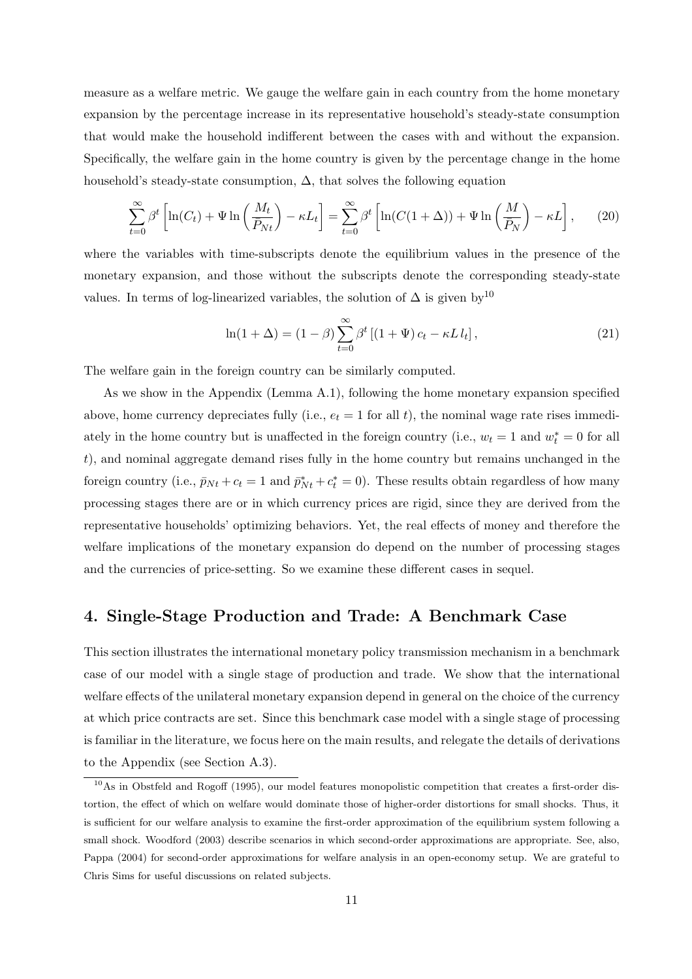measure as a welfare metric. We gauge the welfare gain in each country from the home monetary expansion by the percentage increase in its representative household's steady-state consumption that would make the household indifferent between the cases with and without the expansion. Specifically, the welfare gain in the home country is given by the percentage change in the home household's steady-state consumption,  $\Delta$ , that solves the following equation

$$
\sum_{t=0}^{\infty} \beta^t \left[ \ln(C_t) + \Psi \ln \left( \frac{M_t}{\bar{P}_{Nt}} \right) - \kappa L_t \right] = \sum_{t=0}^{\infty} \beta^t \left[ \ln(C(1+\Delta)) + \Psi \ln \left( \frac{M}{\bar{P}_N} \right) - \kappa L \right], \tag{20}
$$

where the variables with time-subscripts denote the equilibrium values in the presence of the monetary expansion, and those without the subscripts denote the corresponding steady-state values. In terms of log-linearized variables, the solution of  $\Delta$  is given by<sup>10</sup>

$$
\ln(1+\Delta) = (1-\beta) \sum_{t=0}^{\infty} \beta^t \left[ (1+\Psi)c_t - \kappa L l_t \right],\tag{21}
$$

The welfare gain in the foreign country can be similarly computed.

As we show in the Appendix (Lemma A.1), following the home monetary expansion specified above, home currency depreciates fully (i.e.,  $e_t = 1$  for all t), the nominal wage rate rises immediately in the home country but is unaffected in the foreign country (i.e.,  $w_t = 1$  and  $w_t^* = 0$  for all t), and nominal aggregate demand rises fully in the home country but remains unchanged in the foreign country (i.e.,  $\bar{p}_{Nt} + c_t = 1$  and  $\bar{p}_{Nt}^* + c_t^* = 0$ ). These results obtain regardless of how many processing stages there are or in which currency prices are rigid, since they are derived from the representative households' optimizing behaviors. Yet, the real effects of money and therefore the welfare implications of the monetary expansion do depend on the number of processing stages and the currencies of price-setting. So we examine these different cases in sequel.

### 4. Single-Stage Production and Trade: A Benchmark Case

This section illustrates the international monetary policy transmission mechanism in a benchmark case of our model with a single stage of production and trade. We show that the international welfare effects of the unilateral monetary expansion depend in general on the choice of the currency at which price contracts are set. Since this benchmark case model with a single stage of processing is familiar in the literature, we focus here on the main results, and relegate the details of derivations to the Appendix (see Section A.3).

<sup>&</sup>lt;sup>10</sup>As in Obstfeld and Rogoff (1995), our model features monopolistic competition that creates a first-order distortion, the effect of which on welfare would dominate those of higher-order distortions for small shocks. Thus, it is sufficient for our welfare analysis to examine the first-order approximation of the equilibrium system following a small shock. Woodford (2003) describe scenarios in which second-order approximations are appropriate. See, also, Pappa (2004) for second-order approximations for welfare analysis in an open-economy setup. We are grateful to Chris Sims for useful discussions on related subjects.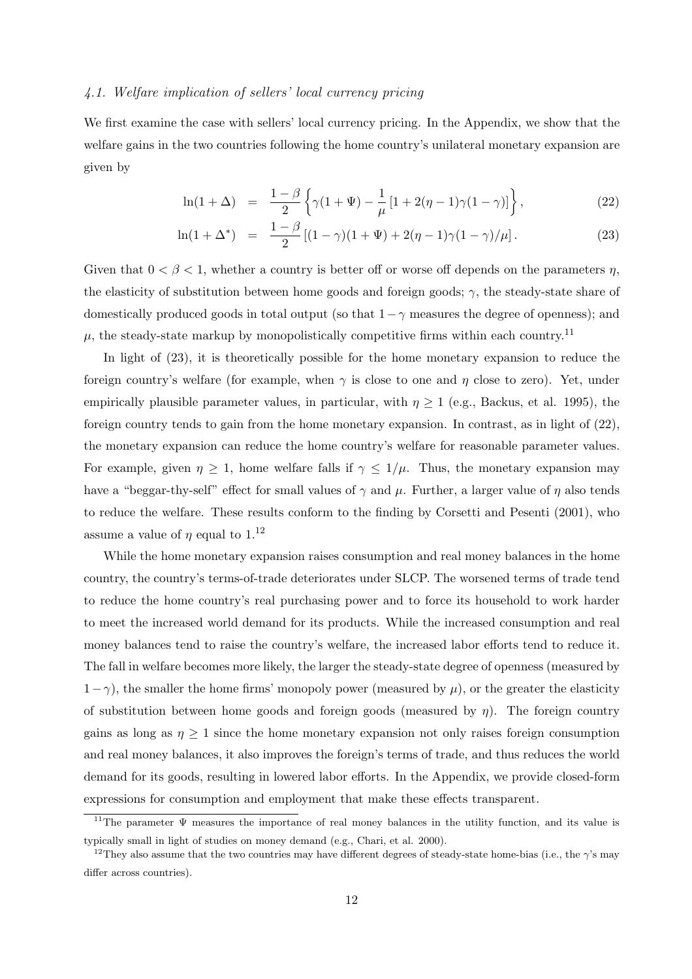### 4.1. Welfare implication of sellers' local currency pricing

We first examine the case with sellers' local currency pricing. In the Appendix, we show that the welfare gains in the two countries following the home country's unilateral monetary expansion are given by

$$
\ln(1+\Delta) = \frac{1-\beta}{2} \left\{ \gamma(1+\Psi) - \frac{1}{\mu} \left[ 1 + 2(\eta - 1)\gamma(1-\gamma) \right] \right\},\tag{22}
$$

$$
\ln(1+\Delta^*) = \frac{1-\beta}{2} [(1-\gamma)(1+\Psi) + 2(\eta-1)\gamma(1-\gamma)/\mu]. \tag{23}
$$

Given that  $0 < \beta < 1$ , whether a country is better off or worse off depends on the parameters  $\eta$ , the elasticity of substitution between home goods and foreign goods;  $\gamma$ , the steady-state share of domestically produced goods in total output (so that  $1 - \gamma$  measures the degree of openness); and  $\mu$ , the steady-state markup by monopolistically competitive firms within each country.<sup>11</sup>

In light of (23), it is theoretically possible for the home monetary expansion to reduce the foreign country's welfare (for example, when  $\gamma$  is close to one and  $\eta$  close to zero). Yet, under empirically plausible parameter values, in particular, with  $\eta \geq 1$  (e.g., Backus, et al. 1995), the foreign country tends to gain from the home monetary expansion. In contrast, as in light of (22), the monetary expansion can reduce the home country's welfare for reasonable parameter values. For example, given  $\eta \geq 1$ , home welfare falls if  $\gamma \leq 1/\mu$ . Thus, the monetary expansion may have a "beggar-thy-self" effect for small values of  $\gamma$  and  $\mu$ . Further, a larger value of  $\eta$  also tends to reduce the welfare. These results conform to the finding by Corsetti and Pesenti (2001), who assume a value of  $\eta$  equal to 1.<sup>12</sup>

While the home monetary expansion raises consumption and real money balances in the home country, the country's terms-of-trade deteriorates under SLCP. The worsened terms of trade tend to reduce the home country's real purchasing power and to force its household to work harder to meet the increased world demand for its products. While the increased consumption and real money balances tend to raise the country's welfare, the increased labor efforts tend to reduce it. The fall in welfare becomes more likely, the larger the steady-state degree of openness (measured by  $(1-\gamma)$ , the smaller the home firms' monopoly power (measured by  $\mu$ ), or the greater the elasticity of substitution between home goods and foreign goods (measured by  $\eta$ ). The foreign country gains as long as  $\eta \geq 1$  since the home monetary expansion not only raises foreign consumption and real money balances, it also improves the foreign's terms of trade, and thus reduces the world demand for its goods, resulting in lowered labor efforts. In the Appendix, we provide closed-form expressions for consumption and employment that make these effects transparent.

<sup>&</sup>lt;sup>11</sup>The parameter  $\Psi$  measures the importance of real money balances in the utility function, and its value is typically small in light of studies on money demand (e.g., Chari, et al. 2000).

<sup>&</sup>lt;sup>12</sup>They also assume that the two countries may have different degrees of steady-state home-bias (i.e., the  $\gamma$ 's may differ across countries).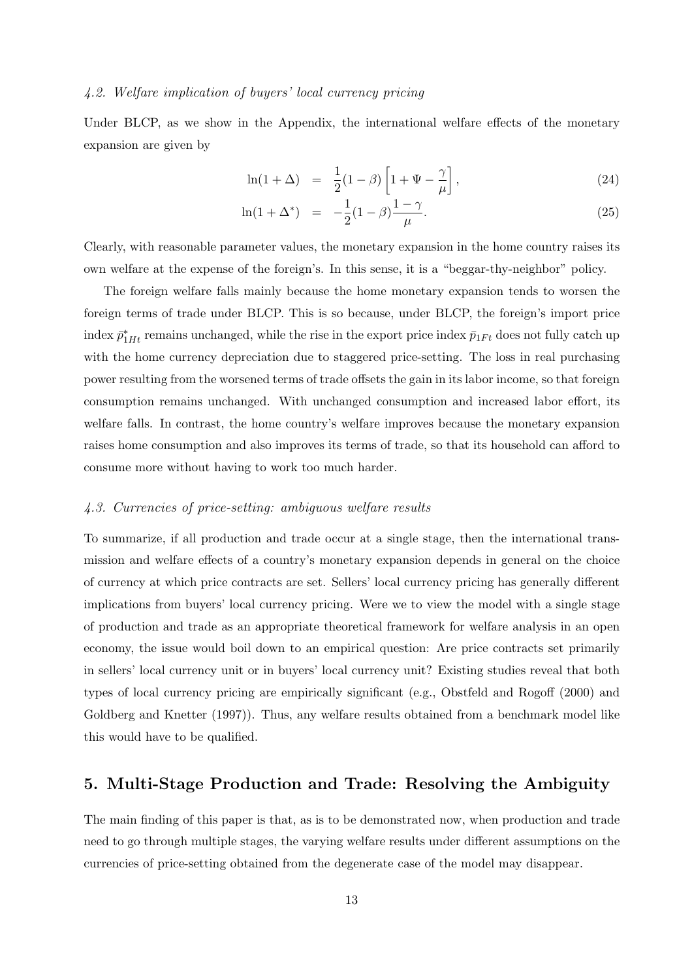### 4.2. Welfare implication of buyers' local currency pricing

Under BLCP, as we show in the Appendix, the international welfare effects of the monetary expansion are given by

$$
\ln(1+\Delta) = \frac{1}{2}(1-\beta)\left[1+\Psi-\frac{\gamma}{\mu}\right],\tag{24}
$$

$$
\ln(1 + \Delta^*) = -\frac{1}{2}(1 - \beta)\frac{1 - \gamma}{\mu}.
$$
\n(25)

Clearly, with reasonable parameter values, the monetary expansion in the home country raises its own welfare at the expense of the foreign's. In this sense, it is a "beggar-thy-neighbor" policy.

The foreign welfare falls mainly because the home monetary expansion tends to worsen the foreign terms of trade under BLCP. This is so because, under BLCP, the foreign's import price index  $\bar{p}_{1Ht}^*$  remains unchanged, while the rise in the export price index  $\bar{p}_{1Ft}$  does not fully catch up with the home currency depreciation due to staggered price-setting. The loss in real purchasing power resulting from the worsened terms of trade offsets the gain in its labor income, so that foreign consumption remains unchanged. With unchanged consumption and increased labor effort, its welfare falls. In contrast, the home country's welfare improves because the monetary expansion raises home consumption and also improves its terms of trade, so that its household can afford to consume more without having to work too much harder.

### 4.3. Currencies of price-setting: ambiguous welfare results

To summarize, if all production and trade occur at a single stage, then the international transmission and welfare effects of a country's monetary expansion depends in general on the choice of currency at which price contracts are set. Sellers' local currency pricing has generally different implications from buyers' local currency pricing. Were we to view the model with a single stage of production and trade as an appropriate theoretical framework for welfare analysis in an open economy, the issue would boil down to an empirical question: Are price contracts set primarily in sellers' local currency unit or in buyers' local currency unit? Existing studies reveal that both types of local currency pricing are empirically significant (e.g., Obstfeld and Rogoff (2000) and Goldberg and Knetter (1997)). Thus, any welfare results obtained from a benchmark model like this would have to be qualified.

# 5. Multi-Stage Production and Trade: Resolving the Ambiguity

The main finding of this paper is that, as is to be demonstrated now, when production and trade need to go through multiple stages, the varying welfare results under different assumptions on the currencies of price-setting obtained from the degenerate case of the model may disappear.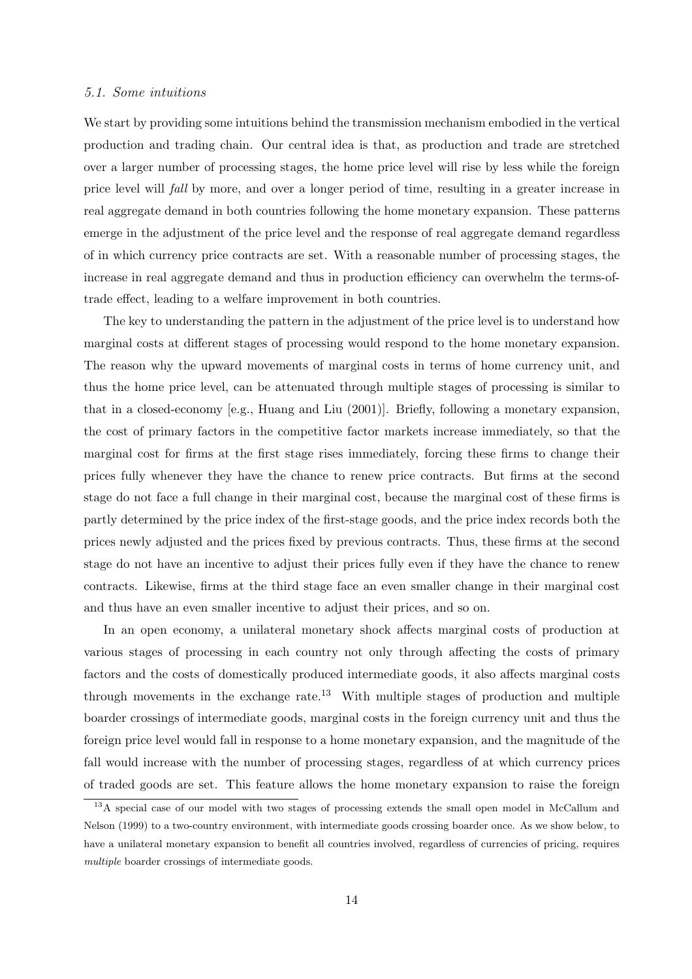### 5.1. Some intuitions

We start by providing some intuitions behind the transmission mechanism embodied in the vertical production and trading chain. Our central idea is that, as production and trade are stretched over a larger number of processing stages, the home price level will rise by less while the foreign price level will fall by more, and over a longer period of time, resulting in a greater increase in real aggregate demand in both countries following the home monetary expansion. These patterns emerge in the adjustment of the price level and the response of real aggregate demand regardless of in which currency price contracts are set. With a reasonable number of processing stages, the increase in real aggregate demand and thus in production efficiency can overwhelm the terms-oftrade effect, leading to a welfare improvement in both countries.

The key to understanding the pattern in the adjustment of the price level is to understand how marginal costs at different stages of processing would respond to the home monetary expansion. The reason why the upward movements of marginal costs in terms of home currency unit, and thus the home price level, can be attenuated through multiple stages of processing is similar to that in a closed-economy [e.g., Huang and Liu (2001)]. Briefly, following a monetary expansion, the cost of primary factors in the competitive factor markets increase immediately, so that the marginal cost for firms at the first stage rises immediately, forcing these firms to change their prices fully whenever they have the chance to renew price contracts. But firms at the second stage do not face a full change in their marginal cost, because the marginal cost of these firms is partly determined by the price index of the first-stage goods, and the price index records both the prices newly adjusted and the prices fixed by previous contracts. Thus, these firms at the second stage do not have an incentive to adjust their prices fully even if they have the chance to renew contracts. Likewise, firms at the third stage face an even smaller change in their marginal cost and thus have an even smaller incentive to adjust their prices, and so on.

In an open economy, a unilateral monetary shock affects marginal costs of production at various stages of processing in each country not only through affecting the costs of primary factors and the costs of domestically produced intermediate goods, it also affects marginal costs through movements in the exchange rate.<sup>13</sup> With multiple stages of production and multiple boarder crossings of intermediate goods, marginal costs in the foreign currency unit and thus the foreign price level would fall in response to a home monetary expansion, and the magnitude of the fall would increase with the number of processing stages, regardless of at which currency prices of traded goods are set. This feature allows the home monetary expansion to raise the foreign

<sup>&</sup>lt;sup>13</sup>A special case of our model with two stages of processing extends the small open model in McCallum and Nelson (1999) to a two-country environment, with intermediate goods crossing boarder once. As we show below, to have a unilateral monetary expansion to benefit all countries involved, regardless of currencies of pricing, requires multiple boarder crossings of intermediate goods.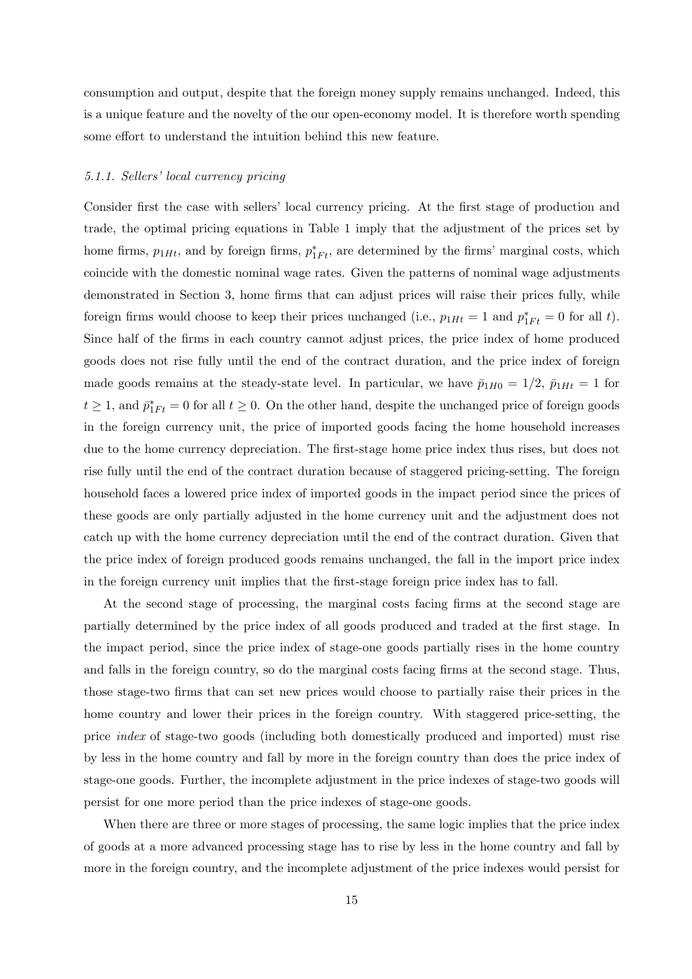consumption and output, despite that the foreign money supply remains unchanged. Indeed, this is a unique feature and the novelty of the our open-economy model. It is therefore worth spending some effort to understand the intuition behind this new feature.

### 5.1.1. Sellers' local currency pricing

Consider first the case with sellers' local currency pricing. At the first stage of production and trade, the optimal pricing equations in Table 1 imply that the adjustment of the prices set by home firms,  $p_{1Ht}$ , and by foreign firms,  $p_{1Ft}^*$ , are determined by the firms' marginal costs, which coincide with the domestic nominal wage rates. Given the patterns of nominal wage adjustments demonstrated in Section 3, home firms that can adjust prices will raise their prices fully, while foreign firms would choose to keep their prices unchanged (i.e.,  $p_{1Ht} = 1$  and  $p_{1Ft}^* = 0$  for all t). Since half of the firms in each country cannot adjust prices, the price index of home produced goods does not rise fully until the end of the contract duration, and the price index of foreign made goods remains at the steady-state level. In particular, we have  $\bar{p}_{1H0} = 1/2$ ,  $\bar{p}_{1Ht} = 1$  for  $t \geq 1$ , and  $\bar{p}_{1F}^* = 0$  for all  $t \geq 0$ . On the other hand, despite the unchanged price of foreign goods in the foreign currency unit, the price of imported goods facing the home household increases due to the home currency depreciation. The first-stage home price index thus rises, but does not rise fully until the end of the contract duration because of staggered pricing-setting. The foreign household faces a lowered price index of imported goods in the impact period since the prices of these goods are only partially adjusted in the home currency unit and the adjustment does not catch up with the home currency depreciation until the end of the contract duration. Given that the price index of foreign produced goods remains unchanged, the fall in the import price index in the foreign currency unit implies that the first-stage foreign price index has to fall.

At the second stage of processing, the marginal costs facing firms at the second stage are partially determined by the price index of all goods produced and traded at the first stage. In the impact period, since the price index of stage-one goods partially rises in the home country and falls in the foreign country, so do the marginal costs facing firms at the second stage. Thus, those stage-two firms that can set new prices would choose to partially raise their prices in the home country and lower their prices in the foreign country. With staggered price-setting, the price index of stage-two goods (including both domestically produced and imported) must rise by less in the home country and fall by more in the foreign country than does the price index of stage-one goods. Further, the incomplete adjustment in the price indexes of stage-two goods will persist for one more period than the price indexes of stage-one goods.

When there are three or more stages of processing, the same logic implies that the price index of goods at a more advanced processing stage has to rise by less in the home country and fall by more in the foreign country, and the incomplete adjustment of the price indexes would persist for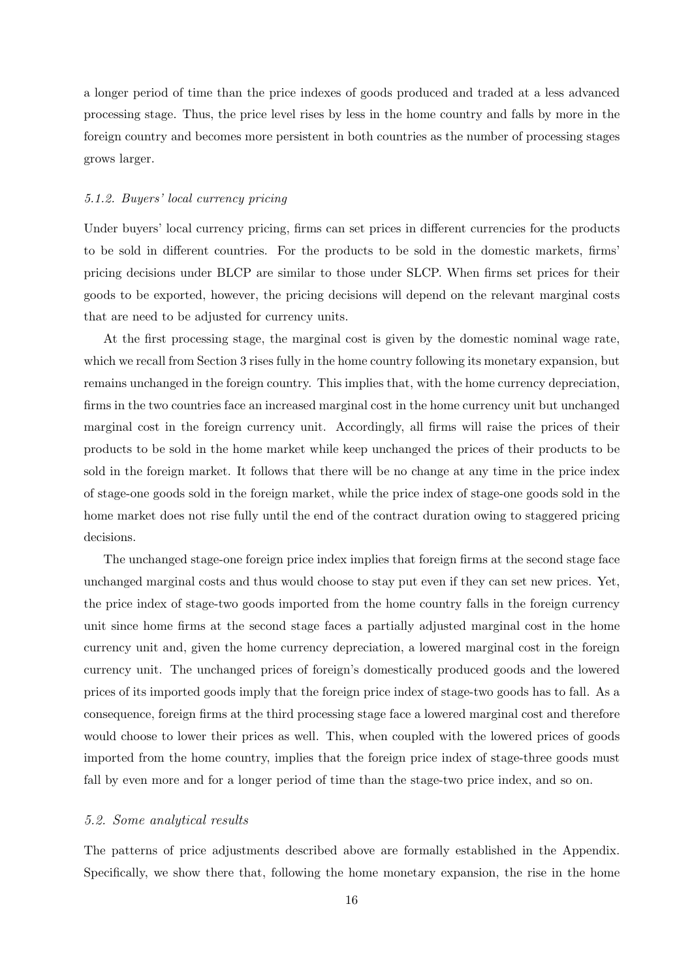a longer period of time than the price indexes of goods produced and traded at a less advanced processing stage. Thus, the price level rises by less in the home country and falls by more in the foreign country and becomes more persistent in both countries as the number of processing stages grows larger.

#### 5.1.2. Buyers' local currency pricing

Under buyers' local currency pricing, firms can set prices in different currencies for the products to be sold in different countries. For the products to be sold in the domestic markets, firms' pricing decisions under BLCP are similar to those under SLCP. When firms set prices for their goods to be exported, however, the pricing decisions will depend on the relevant marginal costs that are need to be adjusted for currency units.

At the first processing stage, the marginal cost is given by the domestic nominal wage rate, which we recall from Section 3 rises fully in the home country following its monetary expansion, but remains unchanged in the foreign country. This implies that, with the home currency depreciation, firms in the two countries face an increased marginal cost in the home currency unit but unchanged marginal cost in the foreign currency unit. Accordingly, all firms will raise the prices of their products to be sold in the home market while keep unchanged the prices of their products to be sold in the foreign market. It follows that there will be no change at any time in the price index of stage-one goods sold in the foreign market, while the price index of stage-one goods sold in the home market does not rise fully until the end of the contract duration owing to staggered pricing decisions.

The unchanged stage-one foreign price index implies that foreign firms at the second stage face unchanged marginal costs and thus would choose to stay put even if they can set new prices. Yet, the price index of stage-two goods imported from the home country falls in the foreign currency unit since home firms at the second stage faces a partially adjusted marginal cost in the home currency unit and, given the home currency depreciation, a lowered marginal cost in the foreign currency unit. The unchanged prices of foreign's domestically produced goods and the lowered prices of its imported goods imply that the foreign price index of stage-two goods has to fall. As a consequence, foreign firms at the third processing stage face a lowered marginal cost and therefore would choose to lower their prices as well. This, when coupled with the lowered prices of goods imported from the home country, implies that the foreign price index of stage-three goods must fall by even more and for a longer period of time than the stage-two price index, and so on.

### 5.2. Some analytical results

The patterns of price adjustments described above are formally established in the Appendix. Specifically, we show there that, following the home monetary expansion, the rise in the home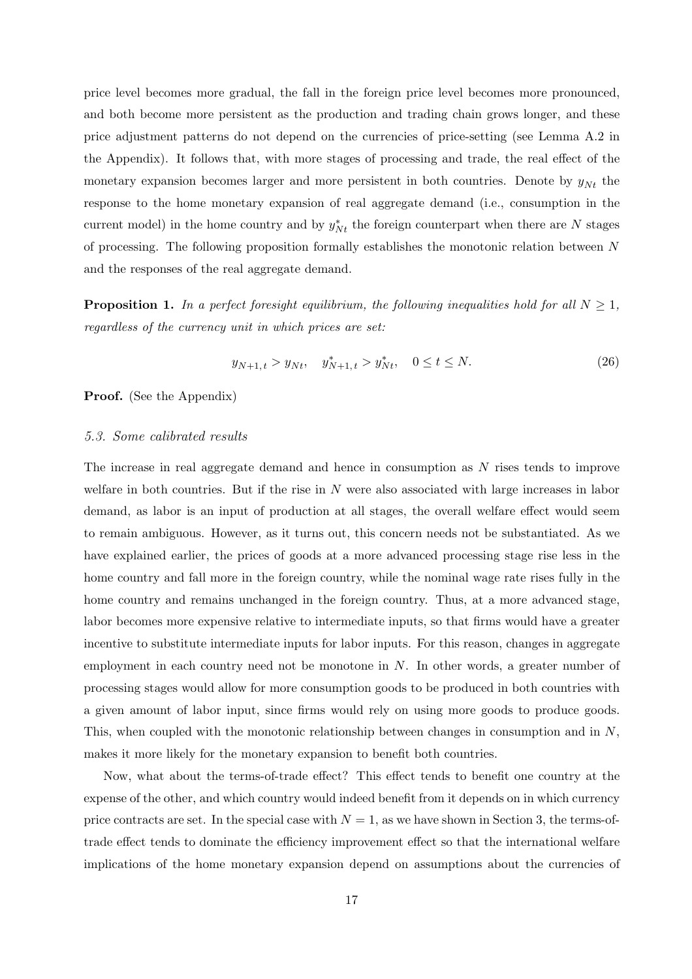price level becomes more gradual, the fall in the foreign price level becomes more pronounced, and both become more persistent as the production and trading chain grows longer, and these price adjustment patterns do not depend on the currencies of price-setting (see Lemma A.2 in the Appendix). It follows that, with more stages of processing and trade, the real effect of the monetary expansion becomes larger and more persistent in both countries. Denote by  $y_{Nt}$  the response to the home monetary expansion of real aggregate demand (i.e., consumption in the current model) in the home country and by  $y_{Nt}^*$  the foreign counterpart when there are N stages of processing. The following proposition formally establishes the monotonic relation between N and the responses of the real aggregate demand.

**Proposition 1.** In a perfect foresight equilibrium, the following inequalities hold for all  $N \geq 1$ , regardless of the currency unit in which prices are set:

$$
y_{N+1,t} > y_{Nt}, \quad y_{N+1,t}^* > y_{Nt}^*, \quad 0 \le t \le N. \tag{26}
$$

Proof. (See the Appendix)

### 5.3. Some calibrated results

The increase in real aggregate demand and hence in consumption as  $N$  rises tends to improve welfare in both countries. But if the rise in  $N$  were also associated with large increases in labor demand, as labor is an input of production at all stages, the overall welfare effect would seem to remain ambiguous. However, as it turns out, this concern needs not be substantiated. As we have explained earlier, the prices of goods at a more advanced processing stage rise less in the home country and fall more in the foreign country, while the nominal wage rate rises fully in the home country and remains unchanged in the foreign country. Thus, at a more advanced stage, labor becomes more expensive relative to intermediate inputs, so that firms would have a greater incentive to substitute intermediate inputs for labor inputs. For this reason, changes in aggregate employment in each country need not be monotone in  $N$ . In other words, a greater number of processing stages would allow for more consumption goods to be produced in both countries with a given amount of labor input, since firms would rely on using more goods to produce goods. This, when coupled with the monotonic relationship between changes in consumption and in  $N$ , makes it more likely for the monetary expansion to benefit both countries.

Now, what about the terms-of-trade effect? This effect tends to benefit one country at the expense of the other, and which country would indeed benefit from it depends on in which currency price contracts are set. In the special case with  $N = 1$ , as we have shown in Section 3, the terms-oftrade effect tends to dominate the efficiency improvement effect so that the international welfare implications of the home monetary expansion depend on assumptions about the currencies of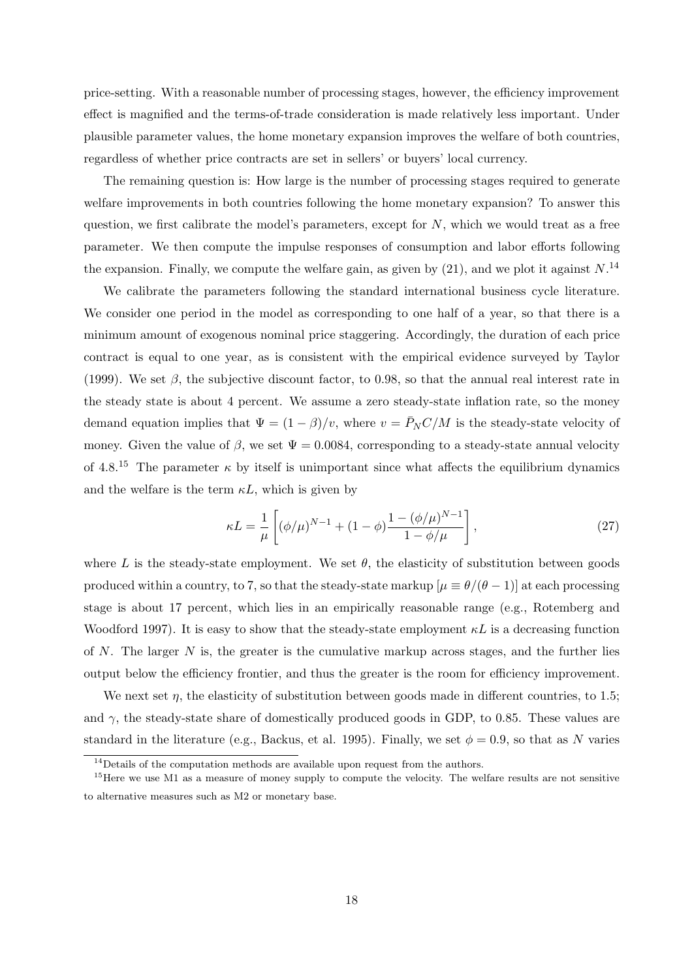price-setting. With a reasonable number of processing stages, however, the efficiency improvement effect is magnified and the terms-of-trade consideration is made relatively less important. Under plausible parameter values, the home monetary expansion improves the welfare of both countries, regardless of whether price contracts are set in sellers' or buyers' local currency.

The remaining question is: How large is the number of processing stages required to generate welfare improvements in both countries following the home monetary expansion? To answer this question, we first calibrate the model's parameters, except for  $N$ , which we would treat as a free parameter. We then compute the impulse responses of consumption and labor efforts following the expansion. Finally, we compute the welfare gain, as given by  $(21)$ , and we plot it against  $N$ .<sup>14</sup>

We calibrate the parameters following the standard international business cycle literature. We consider one period in the model as corresponding to one half of a year, so that there is a minimum amount of exogenous nominal price staggering. Accordingly, the duration of each price contract is equal to one year, as is consistent with the empirical evidence surveyed by Taylor (1999). We set  $\beta$ , the subjective discount factor, to 0.98, so that the annual real interest rate in the steady state is about 4 percent. We assume a zero steady-state inflation rate, so the money demand equation implies that  $\Psi = (1 - \beta)/v$ , where  $v = \bar{P}_N C/M$  is the steady-state velocity of money. Given the value of  $\beta$ , we set  $\Psi = 0.0084$ , corresponding to a steady-state annual velocity of 4.8.<sup>15</sup> The parameter  $\kappa$  by itself is unimportant since what affects the equilibrium dynamics and the welfare is the term  $\kappa L$ , which is given by

$$
\kappa L = \frac{1}{\mu} \left[ (\phi/\mu)^{N-1} + (1 - \phi) \frac{1 - (\phi/\mu)^{N-1}}{1 - \phi/\mu} \right],
$$
\n(27)

where L is the steady-state employment. We set  $\theta$ , the elasticity of substitution between goods produced within a country, to 7, so that the steady-state markup  $[\mu \equiv \theta/(\theta - 1)]$  at each processing stage is about 17 percent, which lies in an empirically reasonable range (e.g., Rotemberg and Woodford 1997). It is easy to show that the steady-state employment  $\kappa L$  is a decreasing function of N. The larger N is, the greater is the cumulative markup across stages, and the further lies output below the efficiency frontier, and thus the greater is the room for efficiency improvement.

We next set  $\eta$ , the elasticity of substitution between goods made in different countries, to 1.5; and  $\gamma$ , the steady-state share of domestically produced goods in GDP, to 0.85. These values are standard in the literature (e.g., Backus, et al. 1995). Finally, we set  $\phi = 0.9$ , so that as N varies

 $14$ Details of the computation methods are available upon request from the authors.

<sup>&</sup>lt;sup>15</sup>Here we use M1 as a measure of money supply to compute the velocity. The welfare results are not sensitive to alternative measures such as M2 or monetary base.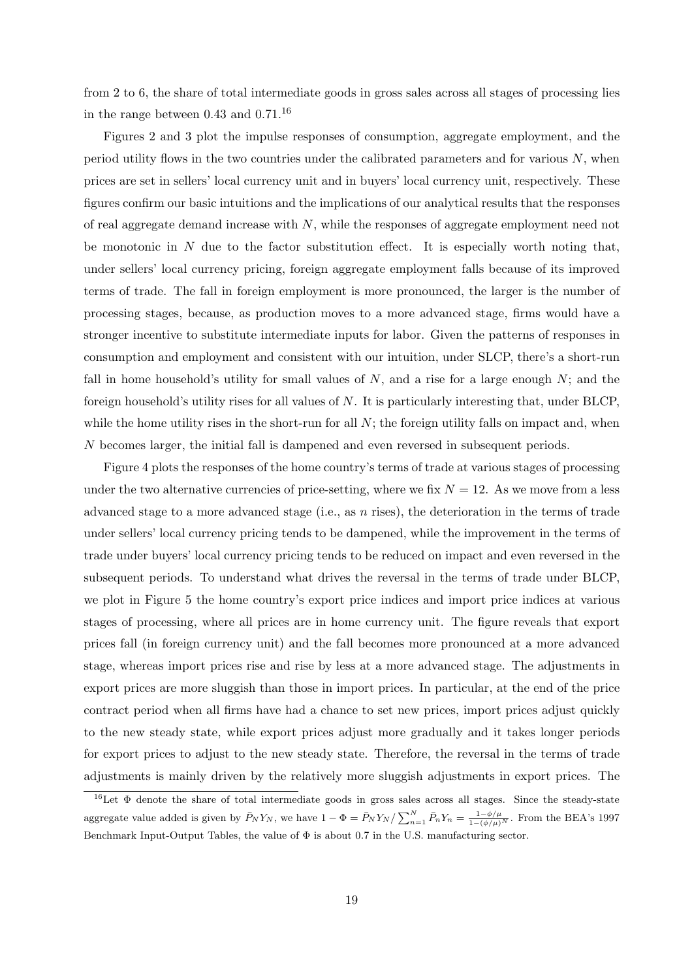from 2 to 6, the share of total intermediate goods in gross sales across all stages of processing lies in the range between  $0.43$  and  $0.71$ .<sup>16</sup>

Figures 2 and 3 plot the impulse responses of consumption, aggregate employment, and the period utility flows in the two countries under the calibrated parameters and for various  $N$ , when prices are set in sellers' local currency unit and in buyers' local currency unit, respectively. These figures confirm our basic intuitions and the implications of our analytical results that the responses of real aggregate demand increase with  $N$ , while the responses of aggregate employment need not be monotonic in  $N$  due to the factor substitution effect. It is especially worth noting that, under sellers' local currency pricing, foreign aggregate employment falls because of its improved terms of trade. The fall in foreign employment is more pronounced, the larger is the number of processing stages, because, as production moves to a more advanced stage, firms would have a stronger incentive to substitute intermediate inputs for labor. Given the patterns of responses in consumption and employment and consistent with our intuition, under SLCP, there's a short-run fall in home household's utility for small values of  $N$ , and a rise for a large enough  $N$ ; and the foreign household's utility rises for all values of  $N$ . It is particularly interesting that, under BLCP, while the home utility rises in the short-run for all  $N$ ; the foreign utility falls on impact and, when N becomes larger, the initial fall is dampened and even reversed in subsequent periods.

Figure 4 plots the responses of the home country's terms of trade at various stages of processing under the two alternative currencies of price-setting, where we fix  $N = 12$ . As we move from a less advanced stage to a more advanced stage (i.e., as  $n$  rises), the deterioration in the terms of trade under sellers' local currency pricing tends to be dampened, while the improvement in the terms of trade under buyers' local currency pricing tends to be reduced on impact and even reversed in the subsequent periods. To understand what drives the reversal in the terms of trade under BLCP, we plot in Figure 5 the home country's export price indices and import price indices at various stages of processing, where all prices are in home currency unit. The figure reveals that export prices fall (in foreign currency unit) and the fall becomes more pronounced at a more advanced stage, whereas import prices rise and rise by less at a more advanced stage. The adjustments in export prices are more sluggish than those in import prices. In particular, at the end of the price contract period when all firms have had a chance to set new prices, import prices adjust quickly to the new steady state, while export prices adjust more gradually and it takes longer periods for export prices to adjust to the new steady state. Therefore, the reversal in the terms of trade adjustments is mainly driven by the relatively more sluggish adjustments in export prices. The

 $16$ Let  $\Phi$  denote the share of total intermediate goods in gross sales across all stages. Since the steady-state aggregate value added is given by  $\bar{P}_N Y_N$ , we have  $1 - \Phi = \bar{P}_N Y_N / \sum_{n=1}^N \bar{P}_n Y_n = \frac{1 - \phi/\mu}{1 - (\phi/\mu)^N}$ . From the BEA's 1997 Benchmark Input-Output Tables, the value of  $\Phi$  is about 0.7 in the U.S. manufacturing sector.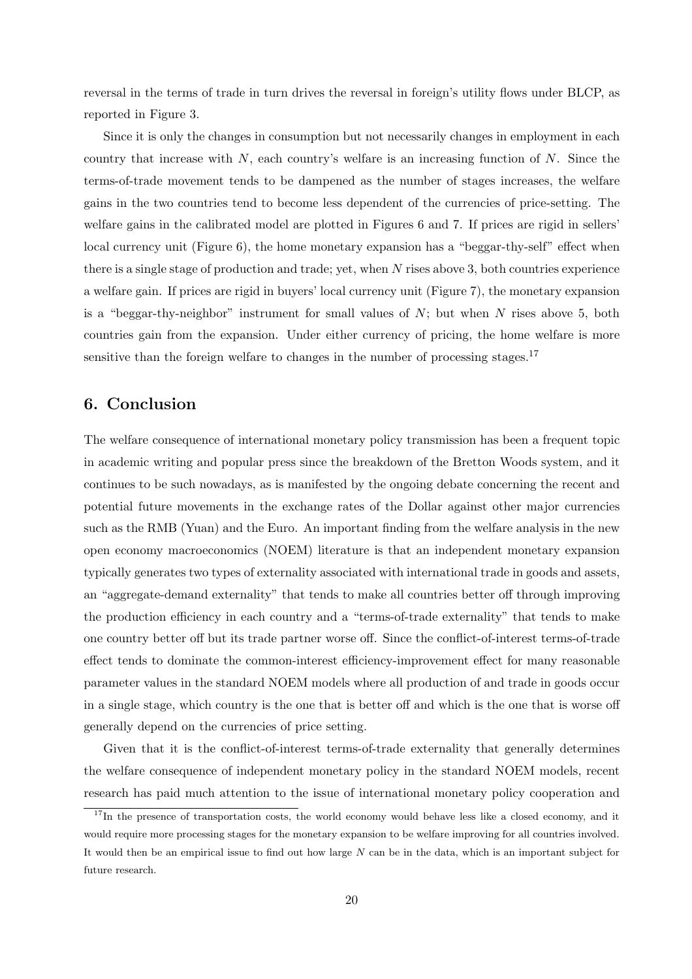reversal in the terms of trade in turn drives the reversal in foreign's utility flows under BLCP, as reported in Figure 3.

Since it is only the changes in consumption but not necessarily changes in employment in each country that increase with  $N$ , each country's welfare is an increasing function of  $N$ . Since the terms-of-trade movement tends to be dampened as the number of stages increases, the welfare gains in the two countries tend to become less dependent of the currencies of price-setting. The welfare gains in the calibrated model are plotted in Figures 6 and 7. If prices are rigid in sellers' local currency unit (Figure 6), the home monetary expansion has a "beggar-thy-self" effect when there is a single stage of production and trade; yet, when  $N$  rises above 3, both countries experience a welfare gain. If prices are rigid in buyers' local currency unit (Figure 7), the monetary expansion is a "beggar-thy-neighbor" instrument for small values of  $N$ ; but when  $N$  rises above 5, both countries gain from the expansion. Under either currency of pricing, the home welfare is more sensitive than the foreign welfare to changes in the number of processing stages.<sup>17</sup>

# 6. Conclusion

The welfare consequence of international monetary policy transmission has been a frequent topic in academic writing and popular press since the breakdown of the Bretton Woods system, and it continues to be such nowadays, as is manifested by the ongoing debate concerning the recent and potential future movements in the exchange rates of the Dollar against other major currencies such as the RMB (Yuan) and the Euro. An important finding from the welfare analysis in the new open economy macroeconomics (NOEM) literature is that an independent monetary expansion typically generates two types of externality associated with international trade in goods and assets, an "aggregate-demand externality" that tends to make all countries better off through improving the production efficiency in each country and a "terms-of-trade externality" that tends to make one country better off but its trade partner worse off. Since the conflict-of-interest terms-of-trade effect tends to dominate the common-interest efficiency-improvement effect for many reasonable parameter values in the standard NOEM models where all production of and trade in goods occur in a single stage, which country is the one that is better off and which is the one that is worse off generally depend on the currencies of price setting.

Given that it is the conflict-of-interest terms-of-trade externality that generally determines the welfare consequence of independent monetary policy in the standard NOEM models, recent research has paid much attention to the issue of international monetary policy cooperation and

<sup>&</sup>lt;sup>17</sup>In the presence of transportation costs, the world economy would behave less like a closed economy, and it would require more processing stages for the monetary expansion to be welfare improving for all countries involved. It would then be an empirical issue to find out how large  $N$  can be in the data, which is an important subject for future research.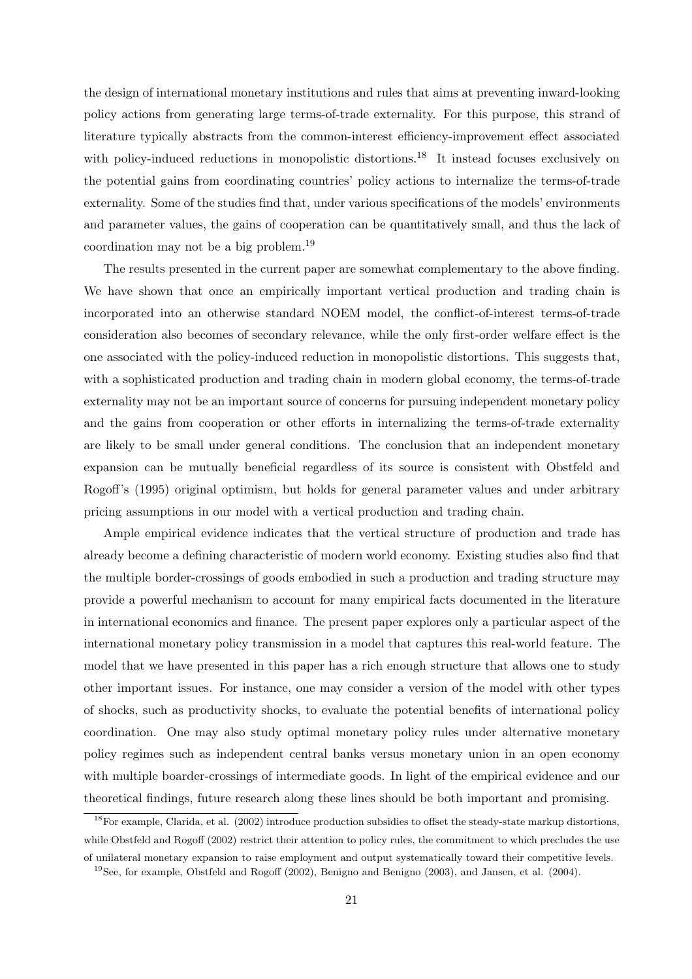the design of international monetary institutions and rules that aims at preventing inward-looking policy actions from generating large terms-of-trade externality. For this purpose, this strand of literature typically abstracts from the common-interest efficiency-improvement effect associated with policy-induced reductions in monopolistic distortions.<sup>18</sup> It instead focuses exclusively on the potential gains from coordinating countries' policy actions to internalize the terms-of-trade externality. Some of the studies find that, under various specifications of the models' environments and parameter values, the gains of cooperation can be quantitatively small, and thus the lack of coordination may not be a big problem.<sup>19</sup>

The results presented in the current paper are somewhat complementary to the above finding. We have shown that once an empirically important vertical production and trading chain is incorporated into an otherwise standard NOEM model, the conflict-of-interest terms-of-trade consideration also becomes of secondary relevance, while the only first-order welfare effect is the one associated with the policy-induced reduction in monopolistic distortions. This suggests that, with a sophisticated production and trading chain in modern global economy, the terms-of-trade externality may not be an important source of concerns for pursuing independent monetary policy and the gains from cooperation or other efforts in internalizing the terms-of-trade externality are likely to be small under general conditions. The conclusion that an independent monetary expansion can be mutually beneficial regardless of its source is consistent with Obstfeld and Rogoff's (1995) original optimism, but holds for general parameter values and under arbitrary pricing assumptions in our model with a vertical production and trading chain.

Ample empirical evidence indicates that the vertical structure of production and trade has already become a defining characteristic of modern world economy. Existing studies also find that the multiple border-crossings of goods embodied in such a production and trading structure may provide a powerful mechanism to account for many empirical facts documented in the literature in international economics and finance. The present paper explores only a particular aspect of the international monetary policy transmission in a model that captures this real-world feature. The model that we have presented in this paper has a rich enough structure that allows one to study other important issues. For instance, one may consider a version of the model with other types of shocks, such as productivity shocks, to evaluate the potential benefits of international policy coordination. One may also study optimal monetary policy rules under alternative monetary policy regimes such as independent central banks versus monetary union in an open economy with multiple boarder-crossings of intermediate goods. In light of the empirical evidence and our theoretical findings, future research along these lines should be both important and promising.

 $^{18}$ For example, Clarida, et al. (2002) introduce production subsidies to offset the steady-state markup distortions, while Obstfeld and Rogoff (2002) restrict their attention to policy rules, the commitment to which precludes the use of unilateral monetary expansion to raise employment and output systematically toward their competitive levels.

<sup>19</sup>See, for example, Obstfeld and Rogoff (2002), Benigno and Benigno (2003), and Jansen, et al. (2004).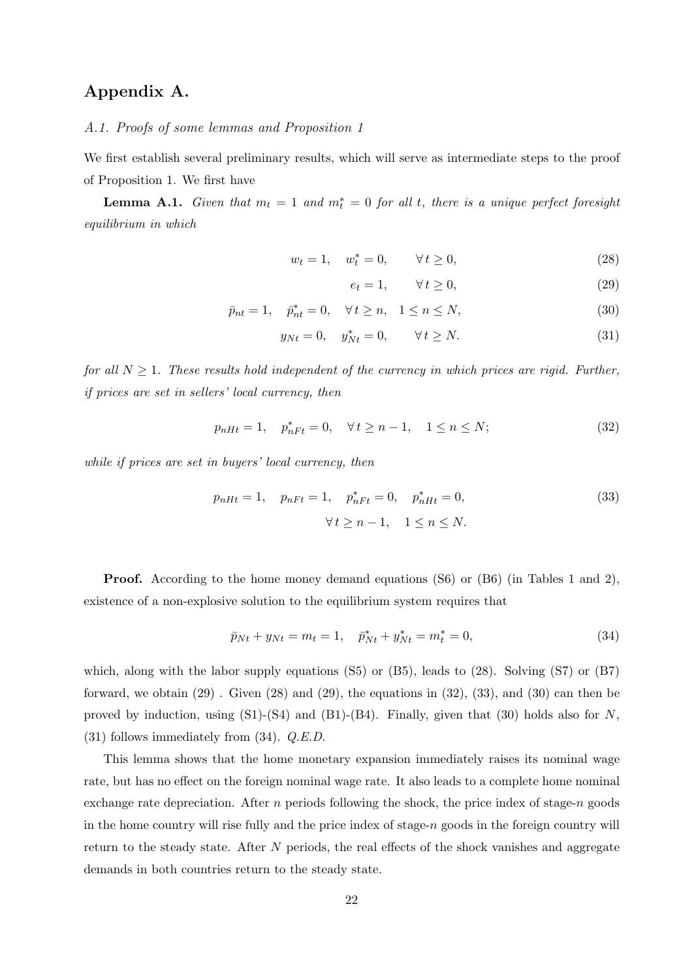# Appendix A.

### A.1. Proofs of some lemmas and Proposition 1

We first establish several preliminary results, which will serve as intermediate steps to the proof of Proposition 1. We first have

**Lemma A.1.** Given that  $m_t = 1$  and  $m_t^* = 0$  for all t, there is a unique perfect foresight equilibrium in which

$$
w_t = 1, \quad w_t^* = 0, \qquad \forall \, t \ge 0,\tag{28}
$$

$$
e_t = 1, \qquad \forall \, t \ge 0,\tag{29}
$$

$$
\bar{p}_{nt} = 1, \quad \bar{p}_{nt}^* = 0, \quad \forall t \ge n, \quad 1 \le n \le N,
$$
\n
$$
(30)
$$

$$
y_{Nt} = 0, \quad y_{Nt}^* = 0, \qquad \forall \, t \ge N. \tag{31}
$$

for all  $N \geq 1$ . These results hold independent of the currency in which prices are rigid. Further, if prices are set in sellers' local currency, then

$$
p_{nHt} = 1, \quad p_{nFt}^* = 0, \quad \forall t \ge n - 1, \quad 1 \le n \le N;
$$
\n(32)

while if prices are set in buyers' local currency, then

$$
p_{nHt} = 1, \quad p_{nFt} = 1, \quad p_{nFt}^{*} = 0, \quad p_{nHt}^{*} = 0,
$$
\n
$$
\forall t \ge n - 1, \quad 1 \le n \le N.
$$
\n(33)

Proof. According to the home money demand equations (S6) or (B6) (in Tables 1 and 2), existence of a non-explosive solution to the equilibrium system requires that

$$
\bar{p}_{Nt} + y_{Nt} = m_t = 1, \quad \bar{p}_{Nt}^* + y_{Nt}^* = m_t^* = 0,
$$
\n(34)

which, along with the labor supply equations (S5) or (B5), leads to (28). Solving (S7) or (B7) forward, we obtain  $(29)$ . Given  $(28)$  and  $(29)$ , the equations in  $(32)$ ,  $(33)$ , and  $(30)$  can then be proved by induction, using  $(S1)-(S4)$  and  $(B1)-(B4)$ . Finally, given that  $(30)$  holds also for N, (31) follows immediately from (34). Q.E.D.

This lemma shows that the home monetary expansion immediately raises its nominal wage rate, but has no effect on the foreign nominal wage rate. It also leads to a complete home nominal exchange rate depreciation. After n periods following the shock, the price index of stage-n goods in the home country will rise fully and the price index of stage- $n$  goods in the foreign country will return to the steady state. After  $N$  periods, the real effects of the shock vanishes and aggregate demands in both countries return to the steady state.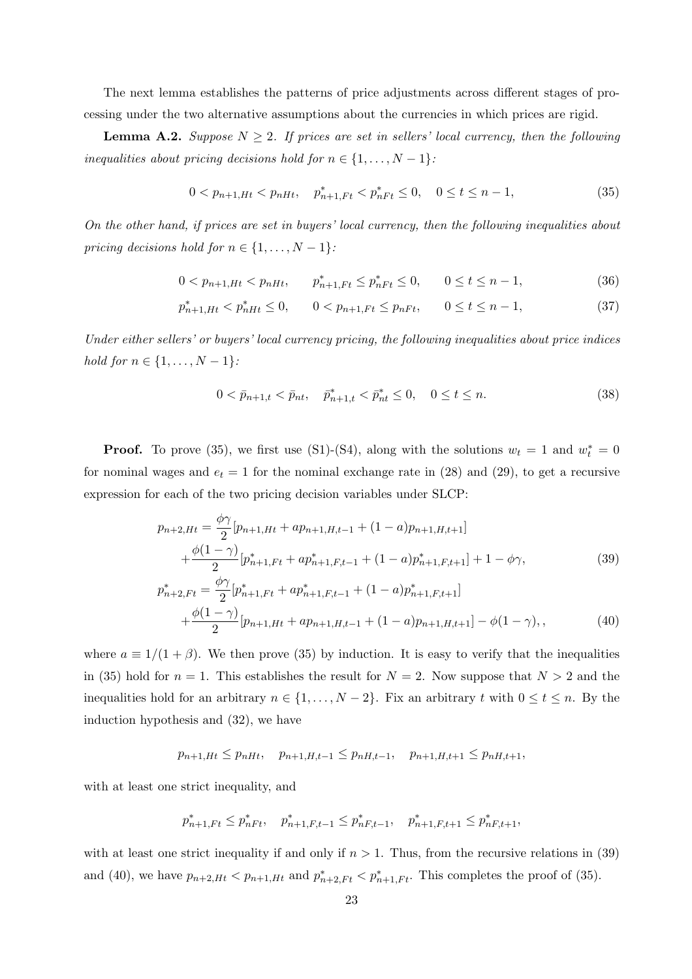The next lemma establishes the patterns of price adjustments across different stages of processing under the two alternative assumptions about the currencies in which prices are rigid.

**Lemma A.2.** Suppose  $N \geq 2$ . If prices are set in sellers' local currency, then the following inequalities about pricing decisions hold for  $n \in \{1, \ldots, N-1\}$ :

$$
0 < p_{n+1, Ht} < p_{nHt}, \quad p_{n+1, Ft}^* < p_{nFt}^* \le 0, \quad 0 \le t \le n-1,\tag{35}
$$

On the other hand, if prices are set in buyers' local currency, then the following inequalities about pricing decisions hold for  $n \in \{1, \ldots, N-1\}$ :

$$
0 < p_{n+1, Ht} < p_{nHt}, \qquad p_{n+1, Ft}^* \le p_{nFt}^* \le 0, \qquad 0 \le t \le n-1,\tag{36}
$$

$$
p_{n+1, Ht}^* < p_{nHt}^* \le 0, \qquad 0 < p_{n+1, Ft} \le p_{nFt}, \qquad 0 \le t \le n-1,\tag{37}
$$

Under either sellers' or buyers' local currency pricing, the following inequalities about price indices *hold for*  $n \in \{1, ..., N - 1\}$ *:* 

$$
0 < \bar{p}_{n+1,t} < \bar{p}_{nt}, \quad \bar{p}_{n+1,t}^* < \bar{p}_{nt}^* \le 0, \quad 0 \le t \le n. \tag{38}
$$

**Proof.** To prove (35), we first use (S1)-(S4), along with the solutions  $w_t = 1$  and  $w_t^* = 0$ for nominal wages and  $e_t = 1$  for the nominal exchange rate in (28) and (29), to get a recursive expression for each of the two pricing decision variables under SLCP:

$$
p_{n+2,Ht} = \frac{\phi \gamma}{2} [p_{n+1,Ht} + ap_{n+1,H,t-1} + (1 - a)p_{n+1,H,t+1}] + \frac{\phi(1 - \gamma)}{2} [p_{n+1,Ft}^* + ap_{n+1,F,t-1}^* + (1 - a)p_{n+1,F,t+1}^*] + 1 - \phi \gamma,
$$
(39)  

$$
p_{n+2,Ft}^* = \frac{\phi \gamma}{2} [p_{n+1,Ft}^* + ap_{n+1,F,t-1}^* + (1 - a)p_{n+1,F,t+1}^*] + \frac{\phi(1 - \gamma)}{2} [p_{n+1,Ht} + ap_{n+1,H,t-1} + (1 - a)p_{n+1,H,t+1}] - \phi(1 - \gamma),
$$
(40)

where  $a \equiv 1/(1 + \beta)$ . We then prove (35) by induction. It is easy to verify that the inequalities in (35) hold for  $n = 1$ . This establishes the result for  $N = 2$ . Now suppose that  $N > 2$  and the inequalities hold for an arbitrary  $n \in \{1, ..., N-2\}$ . Fix an arbitrary t with  $0 \le t \le n$ . By the induction hypothesis and (32), we have

$$
p_{n+1,Ht} \le p_{nHt}, \quad p_{n+1,H,t-1} \le p_{nH,t-1}, \quad p_{n+1,H,t+1} \le p_{nH,t+1},
$$

with at least one strict inequality, and

$$
p_{n+1,Ft}^* \le p_{nFt}^*, \quad p_{n+1,F,t-1}^* \le p_{nF,t-1}^*, \quad p_{n+1,F,t+1}^* \le p_{nF,t+1}^*,
$$

with at least one strict inequality if and only if  $n > 1$ . Thus, from the recursive relations in (39) and (40), we have  $p_{n+2, Ht} < p_{n+1, Ht}$  and  $p_{n+2, Ft}^* < p_{n+1, Ft}^*$ . This completes the proof of (35).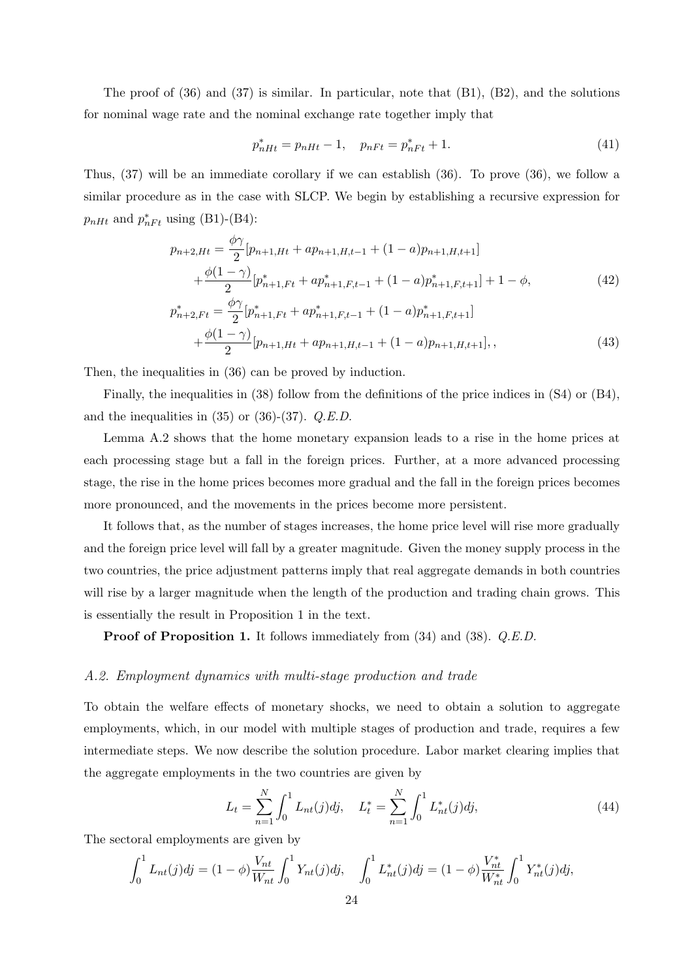The proof of  $(36)$  and  $(37)$  is similar. In particular, note that  $(B1)$ ,  $(B2)$ , and the solutions for nominal wage rate and the nominal exchange rate together imply that

$$
p_{nHt}^* = p_{nHt} - 1, \quad p_{nFt} = p_{nFt}^* + 1.
$$
\n(41)

Thus, (37) will be an immediate corollary if we can establish (36). To prove (36), we follow a similar procedure as in the case with SLCP. We begin by establishing a recursive expression for  $p_{nHt}$  and  $p_{nFt}^*$  using (B1)-(B4):

$$
p_{n+2, Ht} = \frac{\phi \gamma}{2} [p_{n+1, Ht} + ap_{n+1, H, t-1} + (1 - a)p_{n+1, H, t+1}] + \frac{\phi(1 - \gamma)}{2} [p_{n+1, Ft}^* + ap_{n+1, F, t-1}^* + (1 - a)p_{n+1, F, t+1}^*] + 1 - \phi,
$$
(42)  

$$
p_{n+2, Ft}^* = \frac{\phi \gamma}{2} [p_{n+1, Ft}^* + ap_{n+1, F, t-1}^* + (1 - a)p_{n+1, F, t+1}^*] + \frac{\phi(1 - \gamma)}{2} [p_{n+1, Ht} + ap_{n+1, H, t-1} + (1 - a)p_{n+1, H, t+1}],
$$
(43)

Then, the inequalities in (36) can be proved by induction.

Finally, the inequalities in (38) follow from the definitions of the price indices in (S4) or (B4), and the inequalities in  $(35)$  or  $(36)-(37)$ . Q.E.D.

Lemma A.2 shows that the home monetary expansion leads to a rise in the home prices at each processing stage but a fall in the foreign prices. Further, at a more advanced processing stage, the rise in the home prices becomes more gradual and the fall in the foreign prices becomes more pronounced, and the movements in the prices become more persistent.

It follows that, as the number of stages increases, the home price level will rise more gradually and the foreign price level will fall by a greater magnitude. Given the money supply process in the two countries, the price adjustment patterns imply that real aggregate demands in both countries will rise by a larger magnitude when the length of the production and trading chain grows. This is essentially the result in Proposition 1 in the text.

Proof of Proposition 1. It follows immediately from  $(34)$  and  $(38)$ . *Q.E.D.* 

#### A.2. Employment dynamics with multi-stage production and trade

To obtain the welfare effects of monetary shocks, we need to obtain a solution to aggregate employments, which, in our model with multiple stages of production and trade, requires a few intermediate steps. We now describe the solution procedure. Labor market clearing implies that the aggregate employments in the two countries are given by

$$
L_t = \sum_{n=1}^{N} \int_0^1 L_{nt}(j)dj, \quad L_t^* = \sum_{n=1}^{N} \int_0^1 L_{nt}^*(j)dj,\tag{44}
$$

The sectoral employments are given by

$$
\int_0^1 L_{nt}(j)dj = (1 - \phi) \frac{V_{nt}}{W_{nt}} \int_0^1 Y_{nt}(j)dj, \quad \int_0^1 L_{nt}^*(j)dj = (1 - \phi) \frac{V_{nt}^*}{W_{nt}^*} \int_0^1 Y_{nt}^*(j)dj,
$$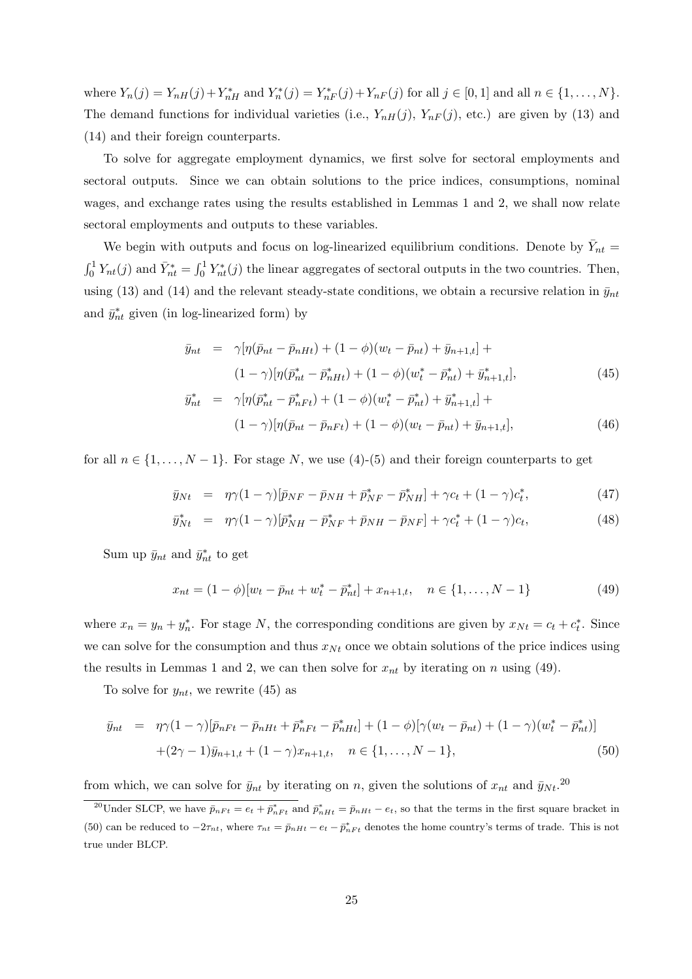where  $Y_n(j) = Y_{nH}(j) + Y_{nH}^*$  and  $Y_n^*(j) = Y_{nF}(j) + Y_{nF}(j)$  for all  $j \in [0, 1]$  and all  $n \in \{1, ..., N\}$ . The demand functions for individual varieties (i.e.,  $Y_{nH}(j)$ ,  $Y_{nF}(j)$ , etc.) are given by (13) and (14) and their foreign counterparts.

To solve for aggregate employment dynamics, we first solve for sectoral employments and sectoral outputs. Since we can obtain solutions to the price indices, consumptions, nominal wages, and exchange rates using the results established in Lemmas 1 and 2, we shall now relate sectoral employments and outputs to these variables.

We begin with outputs and focus on log-linearized equilibrium conditions. Denote by  $\bar{Y}_{nt} =$  $r<sup>1</sup>$  $\sum_{0}^{1} Y_{nt}(j)$  and  $\bar{Y}_{nt}^{*} = \int_{0}^{1}$  $v_0^1 Y_{nt}^*(j)$  the linear aggregates of sectoral outputs in the two countries. Then, using (13) and (14) and the relevant steady-state conditions, we obtain a recursive relation in  $\bar{y}_{nt}$ and  $\bar{y}_{nt}^*$  given (in log-linearized form) by

$$
\bar{y}_{nt} = \gamma [\eta(\bar{p}_{nt} - \bar{p}_{nHt}) + (1 - \phi)(w_t - \bar{p}_{nt}) + \bar{y}_{n+1,t}] +
$$
  
\n
$$
(1 - \gamma)[\eta(\bar{p}_{nt}^* - \bar{p}_{nHt}^*) + (1 - \phi)(w_t^* - \bar{p}_{nt}^*) + \bar{y}_{n+1,t}^*],
$$
  
\n
$$
\bar{y}_{nt}^* = \gamma [\eta(\bar{p}_{nt}^* - \bar{p}_{nFt}^*) + (1 - \phi)(w_t^* - \bar{p}_{nt}^*) + \bar{y}_{n+1,t}^*] +
$$
\n(45)

 $(1 - \gamma) [\eta(\bar{p}_{nt} - \bar{p}_{nFt}) + (1 - \phi)(w_t - \bar{p}_{nt}) + \bar{y}_{n+1,t}],$  (46)

for all  $n \in \{1, ..., N-1\}$ . For stage N, we use (4)-(5) and their foreign counterparts to get

$$
\bar{y}_{Nt} = \eta \gamma (1 - \gamma) [\bar{p}_{NF} - \bar{p}_{NH} + \bar{p}_{NF}^* - \bar{p}_{NH}^*] + \gamma c_t + (1 - \gamma) c_t^*, \tag{47}
$$

$$
\bar{y}_{Nt}^* = \eta \gamma (1 - \gamma) [\bar{p}_{NH}^* - \bar{p}_{NF}^* + \bar{p}_{NH} - \bar{p}_{NF}] + \gamma c_t^* + (1 - \gamma)c_t, \tag{48}
$$

Sum up  $\bar{y}_{nt}$  and  $\bar{y}_{nt}^*$  to get

$$
x_{nt} = (1 - \phi)[w_t - \bar{p}_{nt} + w_t^* - \bar{p}_{nt}^*] + x_{n+1,t}, \quad n \in \{1, ..., N - 1\}
$$
\n(49)

where  $x_n = y_n + y_n^*$ . For stage N, the corresponding conditions are given by  $x_{Nt} = c_t + c_t^*$ . Since we can solve for the consumption and thus  $x_{N_t}$  once we obtain solutions of the price indices using the results in Lemmas 1 and 2, we can then solve for  $x_{nt}$  by iterating on n using (49).

To solve for  $y_{nt}$ , we rewrite (45) as

$$
\bar{y}_{nt} = \eta \gamma (1 - \gamma) [\bar{p}_{nFt} - \bar{p}_{nHt} + \bar{p}_{nFt}^* - \bar{p}_{nHt}^*] + (1 - \phi) [\gamma (w_t - \bar{p}_{nt}) + (1 - \gamma) (w_t^* - \bar{p}_{nt}^*)] \n+ (2\gamma - 1) \bar{y}_{n+1,t} + (1 - \gamma) x_{n+1,t}, \quad n \in \{1, ..., N - 1\},
$$
\n(50)

from which, we can solve for  $\bar{y}_{nt}$  by iterating on n, given the solutions of  $x_{nt}$  and  $\bar{y}_{Nt}$ .<sup>20</sup>

<sup>&</sup>lt;sup>20</sup>Under SLCP, we have  $\bar{p}_{nFt} = e_t + \bar{p}_{nFt}^*$  and  $\bar{p}_{nHt}^* = \bar{p}_{nHt} - e_t$ , so that the terms in the first square bracket in (50) can be reduced to  $-2\tau_{nt}$ , where  $\tau_{nt} = \bar{p}_{nHt} - e_t - \bar{p}_{nFt}^*$  denotes the home country's terms of trade. This is not true under BLCP.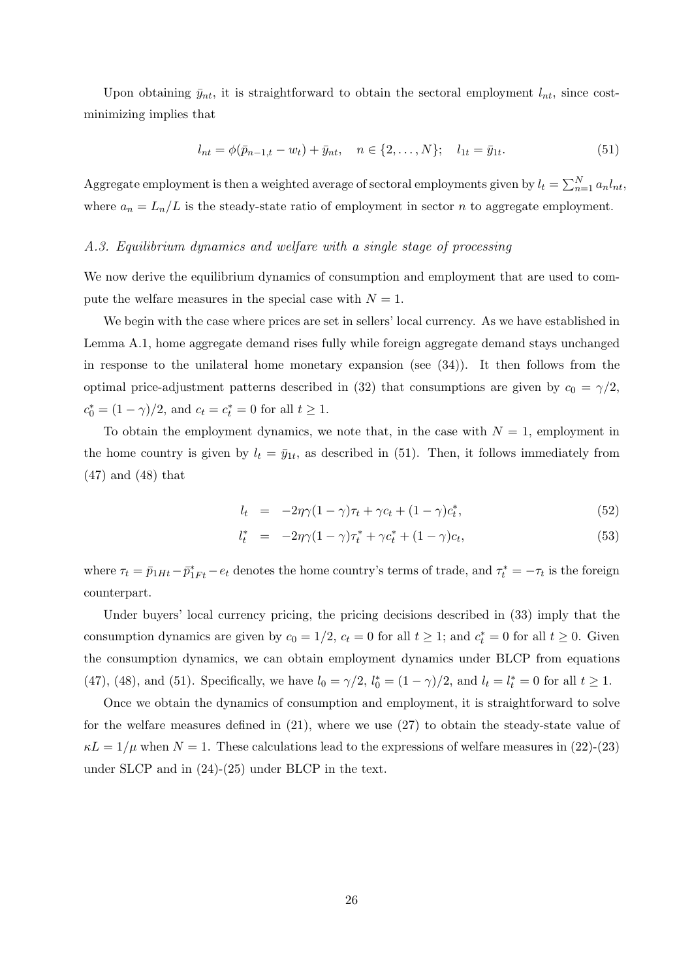Upon obtaining  $\bar{y}_{nt}$ , it is straightforward to obtain the sectoral employment  $l_{nt}$ , since costminimizing implies that

$$
l_{nt} = \phi(\bar{p}_{n-1,t} - w_t) + \bar{y}_{nt}, \quad n \in \{2, ..., N\}; \quad l_{1t} = \bar{y}_{1t}.
$$
\n
$$
(51)
$$

Aggregate employment is then a weighted average of sectoral employments given by  $l_t = \sum_{n=1}^{N} a_n l_{nt}$ , where  $a_n = L_n/L$  is the steady-state ratio of employment in sector n to aggregate employment.

### A.3. Equilibrium dynamics and welfare with a single stage of processing

We now derive the equilibrium dynamics of consumption and employment that are used to compute the welfare measures in the special case with  $N = 1$ .

We begin with the case where prices are set in sellers' local currency. As we have established in Lemma A.1, home aggregate demand rises fully while foreign aggregate demand stays unchanged in response to the unilateral home monetary expansion (see (34)). It then follows from the optimal price-adjustment patterns described in (32) that consumptions are given by  $c_0 = \gamma/2$ ,  $c_0^* = (1 - \gamma)/2$ , and  $c_t = c_t^* = 0$  for all  $t \ge 1$ .

To obtain the employment dynamics, we note that, in the case with  $N = 1$ , employment in the home country is given by  $l_t = \bar{y}_{1t}$ , as described in (51). Then, it follows immediately from (47) and (48) that

$$
l_t = -2\eta \gamma (1 - \gamma)\tau_t + \gamma c_t + (1 - \gamma)c_t^*,
$$
\n(52)

$$
l_t^* = -2\eta \gamma (1 - \gamma) \tau_t^* + \gamma c_t^* + (1 - \gamma)c_t, \tag{53}
$$

where  $\tau_t = \bar{p}_{1Ht} - \bar{p}_{1Ft}^* - e_t$  denotes the home country's terms of trade, and  $\tau_t^* = -\tau_t$  is the foreign counterpart.

Under buyers' local currency pricing, the pricing decisions described in (33) imply that the consumption dynamics are given by  $c_0 = 1/2$ ,  $c_t = 0$  for all  $t \ge 1$ ; and  $c_t^* = 0$  for all  $t \ge 0$ . Given the consumption dynamics, we can obtain employment dynamics under BLCP from equations (47), (48), and (51). Specifically, we have  $l_0 = \gamma/2$ ,  $l_0^* = (1 - \gamma)/2$ , and  $l_t = l_t^* = 0$  for all  $t \ge 1$ .

Once we obtain the dynamics of consumption and employment, it is straightforward to solve for the welfare measures defined in (21), where we use (27) to obtain the steady-state value of  $\kappa L = 1/\mu$  when  $N = 1$ . These calculations lead to the expressions of welfare measures in (22)-(23) under SLCP and in (24)-(25) under BLCP in the text.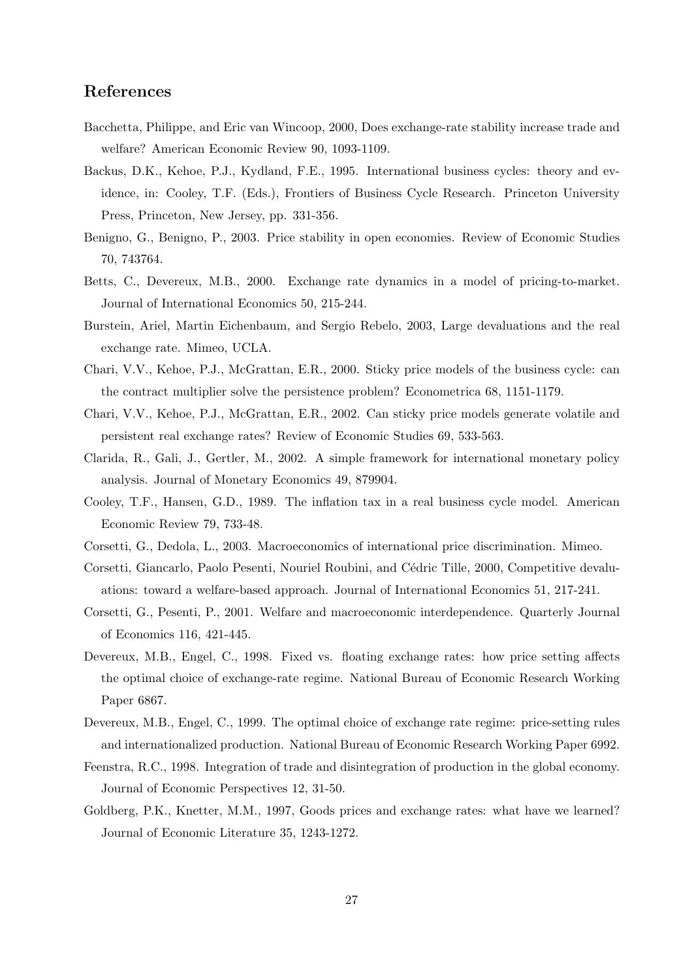## References

- Bacchetta, Philippe, and Eric van Wincoop, 2000, Does exchange-rate stability increase trade and welfare? American Economic Review 90, 1093-1109.
- Backus, D.K., Kehoe, P.J., Kydland, F.E., 1995. International business cycles: theory and evidence, in: Cooley, T.F. (Eds.), Frontiers of Business Cycle Research. Princeton University Press, Princeton, New Jersey, pp. 331-356.
- Benigno, G., Benigno, P., 2003. Price stability in open economies. Review of Economic Studies 70, 743764.
- Betts, C., Devereux, M.B., 2000. Exchange rate dynamics in a model of pricing-to-market. Journal of International Economics 50, 215-244.
- Burstein, Ariel, Martin Eichenbaum, and Sergio Rebelo, 2003, Large devaluations and the real exchange rate. Mimeo, UCLA.
- Chari, V.V., Kehoe, P.J., McGrattan, E.R., 2000. Sticky price models of the business cycle: can the contract multiplier solve the persistence problem? Econometrica 68, 1151-1179.
- Chari, V.V., Kehoe, P.J., McGrattan, E.R., 2002. Can sticky price models generate volatile and persistent real exchange rates? Review of Economic Studies 69, 533-563.
- Clarida, R., Gali, J., Gertler, M., 2002. A simple framework for international monetary policy analysis. Journal of Monetary Economics 49, 879904.
- Cooley, T.F., Hansen, G.D., 1989. The inflation tax in a real business cycle model. American Economic Review 79, 733-48.
- Corsetti, G., Dedola, L., 2003. Macroeconomics of international price discrimination. Mimeo.
- Corsetti, Giancarlo, Paolo Pesenti, Nouriel Roubini, and Cédric Tille, 2000, Competitive devaluations: toward a welfare-based approach. Journal of International Economics 51, 217-241.
- Corsetti, G., Pesenti, P., 2001. Welfare and macroeconomic interdependence. Quarterly Journal of Economics 116, 421-445.
- Devereux, M.B., Engel, C., 1998. Fixed vs. floating exchange rates: how price setting affects the optimal choice of exchange-rate regime. National Bureau of Economic Research Working Paper 6867.
- Devereux, M.B., Engel, C., 1999. The optimal choice of exchange rate regime: price-setting rules and internationalized production. National Bureau of Economic Research Working Paper 6992.
- Feenstra, R.C., 1998. Integration of trade and disintegration of production in the global economy. Journal of Economic Perspectives 12, 31-50.
- Goldberg, P.K., Knetter, M.M., 1997, Goods prices and exchange rates: what have we learned? Journal of Economic Literature 35, 1243-1272.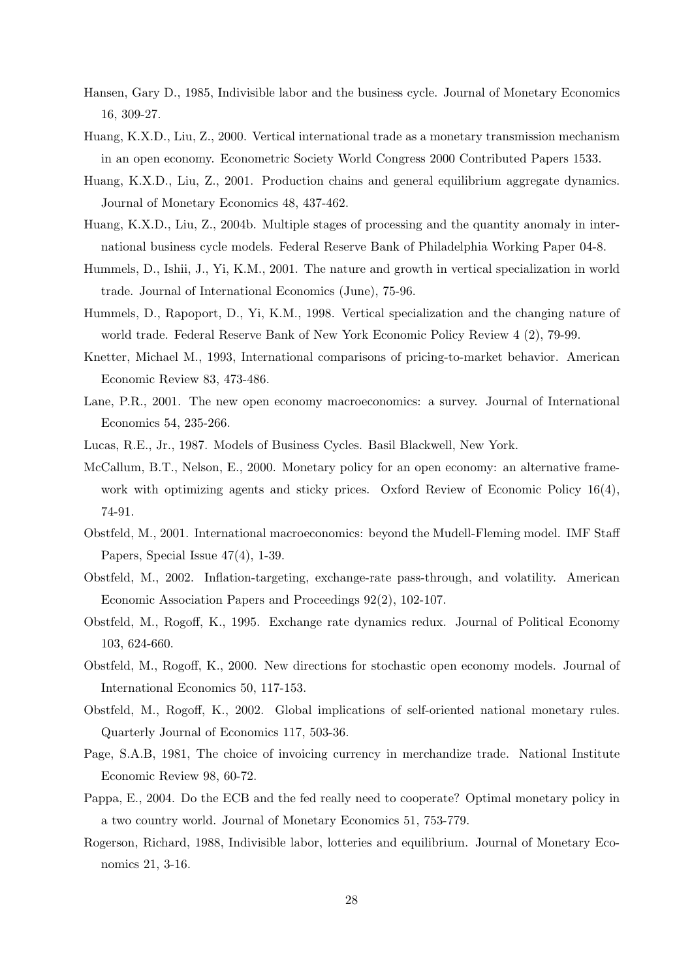- Hansen, Gary D., 1985, Indivisible labor and the business cycle. Journal of Monetary Economics 16, 309-27.
- Huang, K.X.D., Liu, Z., 2000. Vertical international trade as a monetary transmission mechanism in an open economy. Econometric Society World Congress 2000 Contributed Papers 1533.
- Huang, K.X.D., Liu, Z., 2001. Production chains and general equilibrium aggregate dynamics. Journal of Monetary Economics 48, 437-462.
- Huang, K.X.D., Liu, Z., 2004b. Multiple stages of processing and the quantity anomaly in international business cycle models. Federal Reserve Bank of Philadelphia Working Paper 04-8.
- Hummels, D., Ishii, J., Yi, K.M., 2001. The nature and growth in vertical specialization in world trade. Journal of International Economics (June), 75-96.
- Hummels, D., Rapoport, D., Yi, K.M., 1998. Vertical specialization and the changing nature of world trade. Federal Reserve Bank of New York Economic Policy Review 4 (2), 79-99.
- Knetter, Michael M., 1993, International comparisons of pricing-to-market behavior. American Economic Review 83, 473-486.
- Lane, P.R., 2001. The new open economy macroeconomics: a survey. Journal of International Economics 54, 235-266.
- Lucas, R.E., Jr., 1987. Models of Business Cycles. Basil Blackwell, New York.
- McCallum, B.T., Nelson, E., 2000. Monetary policy for an open economy: an alternative framework with optimizing agents and sticky prices. Oxford Review of Economic Policy 16(4), 74-91.
- Obstfeld, M., 2001. International macroeconomics: beyond the Mudell-Fleming model. IMF Staff Papers, Special Issue 47(4), 1-39.
- Obstfeld, M., 2002. Inflation-targeting, exchange-rate pass-through, and volatility. American Economic Association Papers and Proceedings 92(2), 102-107.
- Obstfeld, M., Rogoff, K., 1995. Exchange rate dynamics redux. Journal of Political Economy 103, 624-660.
- Obstfeld, M., Rogoff, K., 2000. New directions for stochastic open economy models. Journal of International Economics 50, 117-153.
- Obstfeld, M., Rogoff, K., 2002. Global implications of self-oriented national monetary rules. Quarterly Journal of Economics 117, 503-36.
- Page, S.A.B, 1981, The choice of invoicing currency in merchandize trade. National Institute Economic Review 98, 60-72.
- Pappa, E., 2004. Do the ECB and the fed really need to cooperate? Optimal monetary policy in a two country world. Journal of Monetary Economics 51, 753-779.
- Rogerson, Richard, 1988, Indivisible labor, lotteries and equilibrium. Journal of Monetary Economics 21, 3-16.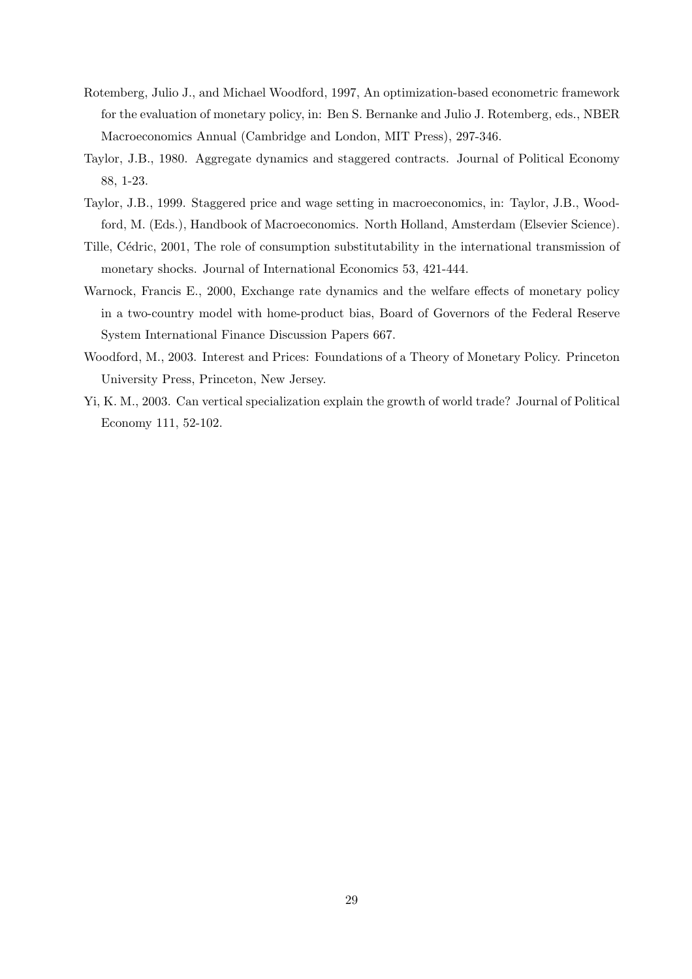- Rotemberg, Julio J., and Michael Woodford, 1997, An optimization-based econometric framework for the evaluation of monetary policy, in: Ben S. Bernanke and Julio J. Rotemberg, eds., NBER Macroeconomics Annual (Cambridge and London, MIT Press), 297-346.
- Taylor, J.B., 1980. Aggregate dynamics and staggered contracts. Journal of Political Economy 88, 1-23.
- Taylor, J.B., 1999. Staggered price and wage setting in macroeconomics, in: Taylor, J.B., Woodford, M. (Eds.), Handbook of Macroeconomics. North Holland, Amsterdam (Elsevier Science).
- Tille, Cédric, 2001, The role of consumption substitutability in the international transmission of monetary shocks. Journal of International Economics 53, 421-444.
- Warnock, Francis E., 2000, Exchange rate dynamics and the welfare effects of monetary policy in a two-country model with home-product bias, Board of Governors of the Federal Reserve System International Finance Discussion Papers 667.
- Woodford, M., 2003. Interest and Prices: Foundations of a Theory of Monetary Policy. Princeton University Press, Princeton, New Jersey.
- Yi, K. M., 2003. Can vertical specialization explain the growth of world trade? Journal of Political Economy 111, 52-102.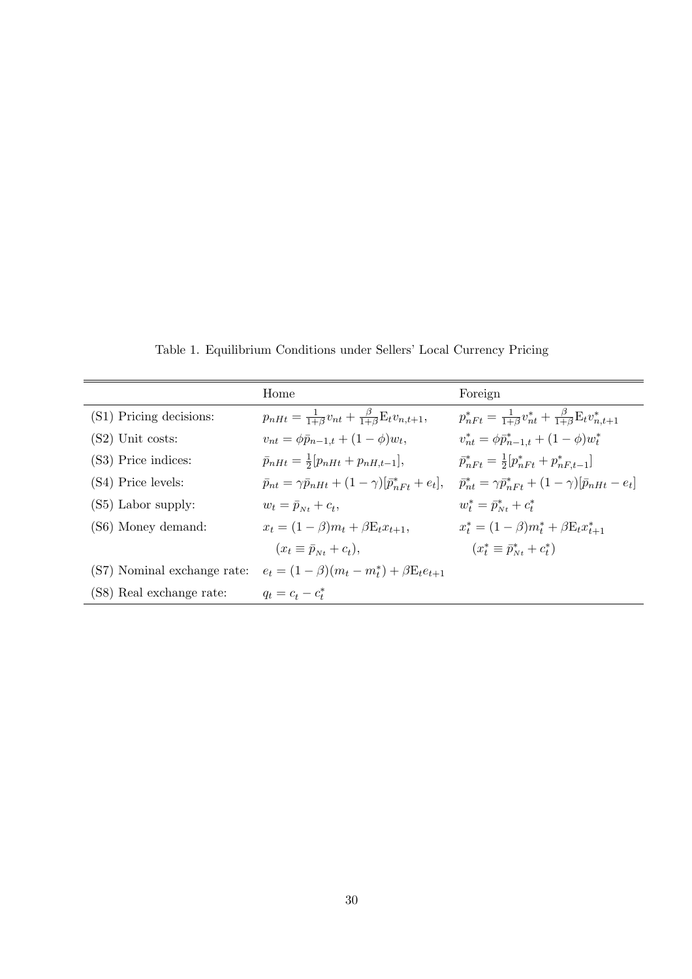|                             | Home                                                                          | Foreign                                                                        |
|-----------------------------|-------------------------------------------------------------------------------|--------------------------------------------------------------------------------|
| (S1) Pricing decisions:     | $p_{nHt} = \frac{1}{1+\beta}v_{nt} + \frac{\beta}{1+\beta}E_t v_{n,t+1},$     | $p_{nFt}^* = \frac{1}{1+\beta}v_{nt}^* + \frac{\beta}{1+\beta}E_t v_{n,t+1}^*$ |
| $(S2)$ Unit costs:          | $v_{nt} = \phi \bar{p}_{n-1,t} + (1 - \phi) w_t,$                             | $v_{nt}^* = \phi \bar{p}_{n-1,t}^* + (1 - \phi) w_t^*$                         |
| (S3) Price indices:         | $\bar{p}_{nHt} = \frac{1}{2} [p_{nHt} + p_{nH,t-1}],$                         | $\bar{p}_{nFt}^* = \frac{1}{2} [p_{nFt}^* + p_{nFt-1}^*]$                      |
| (S4) Price levels:          | $\bar{p}_{nt} = \gamma \bar{p}_{nHt} + (1 - \gamma) [\bar{p}_{nFt}^* + e_t],$ | $\bar{p}_{nt}^* = \gamma \bar{p}_{nF}^* + (1 - \gamma) [\bar{p}_{nHt} - e_t]$  |
| $(S5)$ Labor supply:        | $w_t = \bar{p}_{N_t} + c_t,$                                                  | $w_t^* = \bar{p}_{N_t}^* + c_t^*$                                              |
| (S6) Money demand:          | $x_t = (1 - \beta)m_t + \beta E_t x_{t+1},$                                   | $x_t^* = (1 - \beta)m_t^* + \beta E_t x_{t+1}^*$                               |
|                             | $(x_t \equiv \bar{p}_{N_t} + c_t),$                                           | $(x_t^* \equiv \bar{p}_{N_t}^* + c_t^*)$                                       |
| (S7) Nominal exchange rate: | $e_t = (1 - \beta)(m_t - m_t^*) + \beta E_t e_{t+1}$                          |                                                                                |
| (S8) Real exchange rate:    | $q_t = c_t - c_t^*$                                                           |                                                                                |

Table 1. Equilibrium Conditions under Sellers' Local Currency Pricing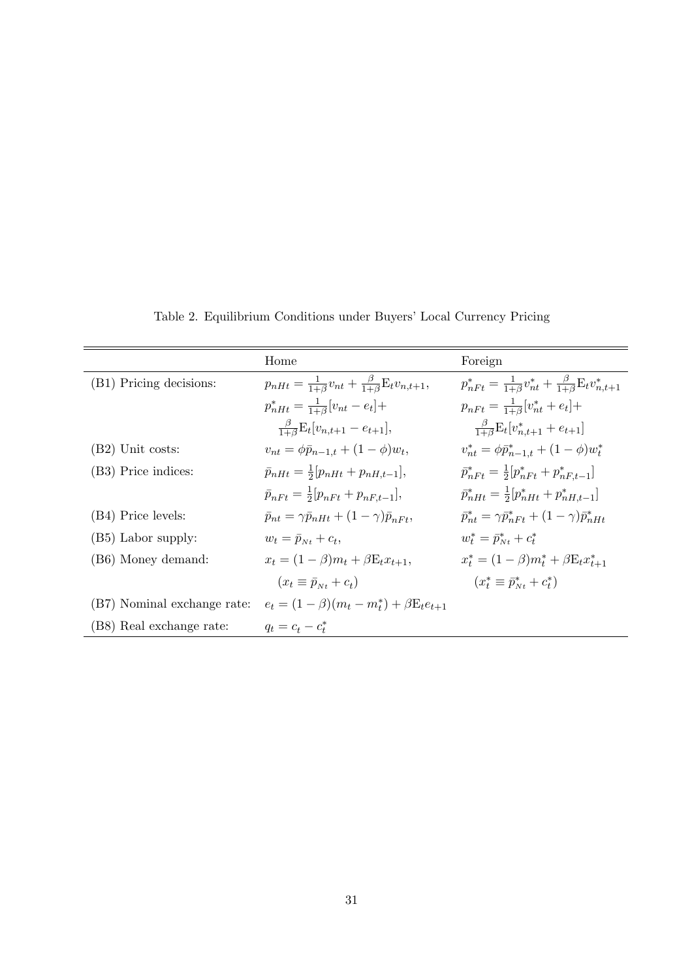|                             | Home                                                                      | Foreign                                                                       |
|-----------------------------|---------------------------------------------------------------------------|-------------------------------------------------------------------------------|
| (B1) Pricing decisions:     | $p_{nHt} = \frac{1}{1+\beta}v_{nt} + \frac{\beta}{1+\beta}E_t v_{n,t+1},$ | $p_{nFt}^* = \frac{1}{1+\beta}v_{nt}^* + \frac{\beta}{1+\beta}E_tv_{n,t+1}^*$ |
|                             | $p_{nHt}^* = \frac{1}{1+\beta} [v_{nt} - e_t] +$                          | $p_{nFt} = \frac{1}{1+\beta} [v_{nt}^* + e_t] +$                              |
|                             | $\frac{\beta}{1+\beta}E_t[v_{n,t+1}-e_{t+1}],$                            | $\frac{\beta}{1+\beta}E_t[v_{n,t+1}^* + e_{t+1}]$                             |
| (B2) Unit costs:            | $v_{nt} = \phi \bar{p}_{n-1,t} + (1 - \phi) w_t,$                         | $v_{nt}^* = \phi \bar{p}_{n-1,t}^* + (1-\phi)w_t^*$                           |
| (B3) Price indices:         | $\bar{p}_{nHt} = \frac{1}{2} [p_{nHt} + p_{nH,t-1}],$                     | $\bar{p}_{nFt}^* = \frac{1}{2} [p_{nFt}^* + p_{nF,t-1}^*]$                    |
|                             | $\bar{p}_{nFt} = \frac{1}{2} [p_{nFt} + p_{nF.t-1}],$                     | $\bar{p}_{nHt}^* = \frac{1}{2} [p_{nHt}^* + p_{nH_t-1}^*]$                    |
| (B4) Price levels:          | $\bar{p}_{nt} = \gamma \bar{p}_{nHt} + (1 - \gamma) \bar{p}_{nFt},$       | $\bar{p}_{nt}^* = \gamma \bar{p}_{nFt}^* + (1 - \gamma) \bar{p}_{nHt}^*$      |
| (B5) Labor supply:          | $w_t = \bar{p}_{N_t} + c_t,$                                              | $w_t^* = \bar{p}_{N_t}^* + c_t^*$                                             |
| (B6) Money demand:          | $x_t = (1 - \beta)m_t + \beta E_t x_{t+1},$                               | $x_t^* = (1 - \beta)m_t^* + \beta E_t x_{t+1}^*$                              |
|                             | $(x_t \equiv \bar{p}_{N_t} + c_t)$                                        | $(x_t^* \equiv \bar{p}_{N_t}^* + c_t^*)$                                      |
| (B7) Nominal exchange rate: | $e_t = (1 - \beta)(m_t - m_t^*) + \beta E_t e_{t+1}$                      |                                                                               |
| (B8) Real exchange rate:    | $q_t = c_t - c_t^*$                                                       |                                                                               |

Table 2. Equilibrium Conditions under Buyers' Local Currency Pricing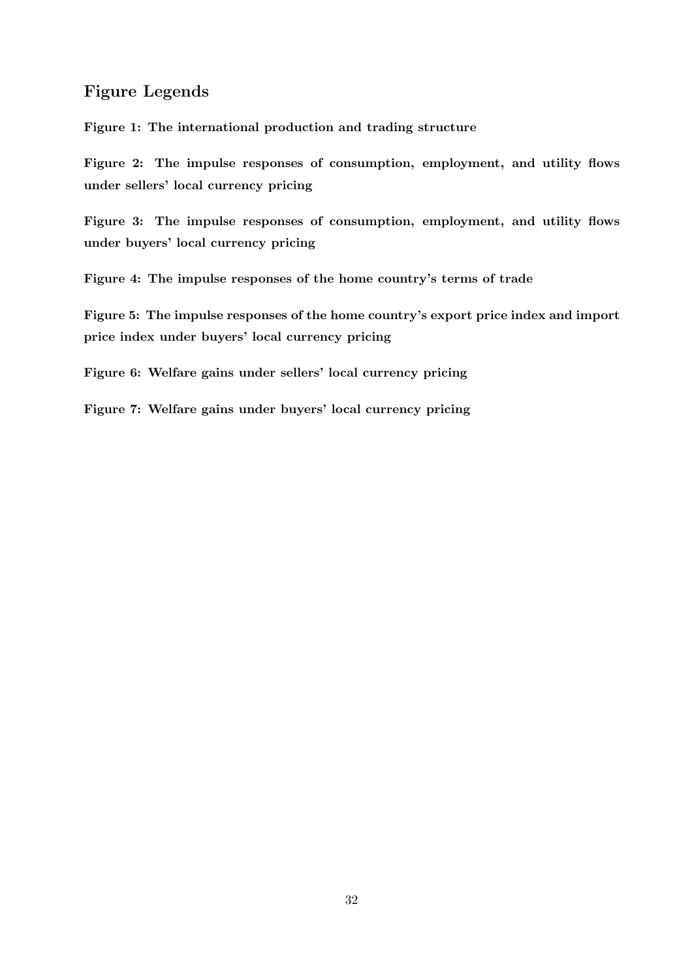# Figure Legends

Figure 1: The international production and trading structure

Figure 2: The impulse responses of consumption, employment, and utility flows under sellers' local currency pricing

Figure 3: The impulse responses of consumption, employment, and utility flows under buyers' local currency pricing

Figure 4: The impulse responses of the home country's terms of trade

Figure 5: The impulse responses of the home country's export price index and import price index under buyers' local currency pricing

Figure 6: Welfare gains under sellers' local currency pricing

Figure 7: Welfare gains under buyers' local currency pricing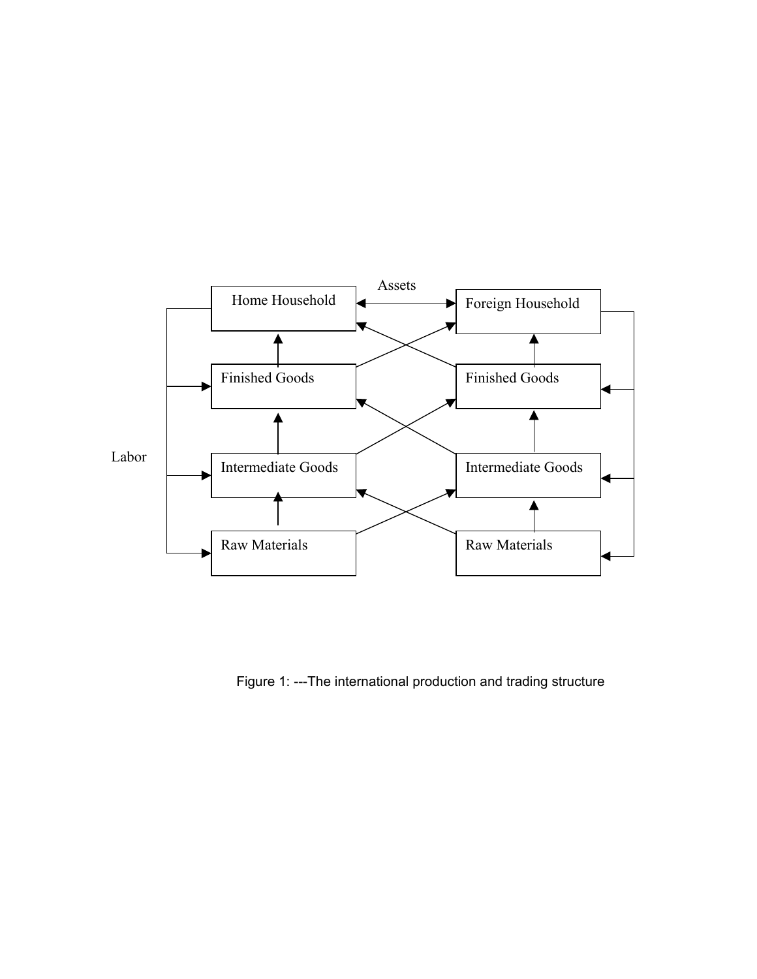

Figure 1: ---The international production and trading structure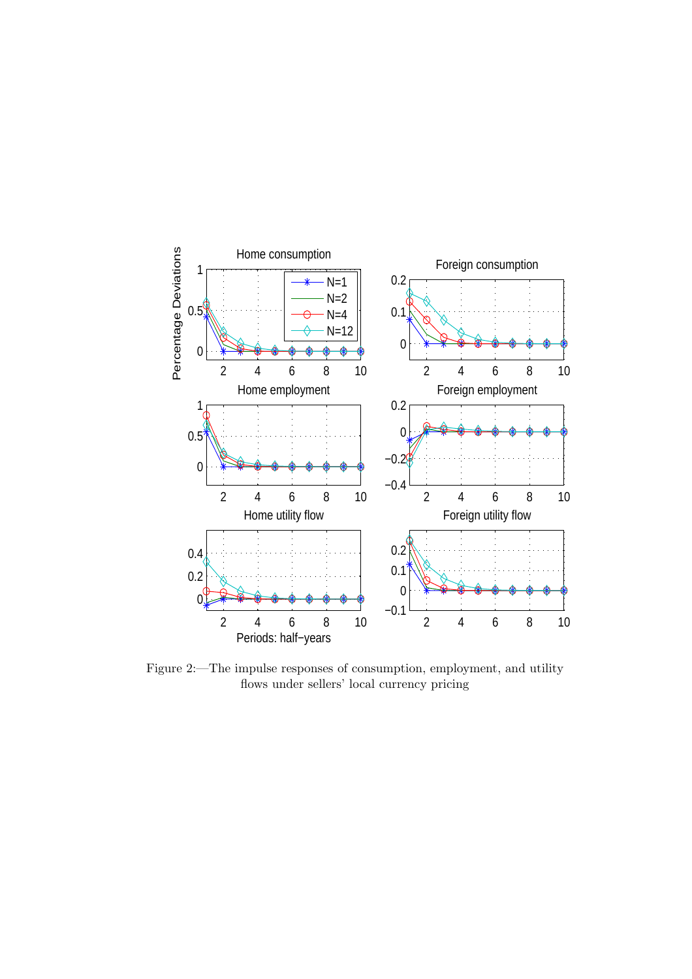

Figure 2:—The impulse responses of consumption, employment, and utility flows under sellers' local currency pricing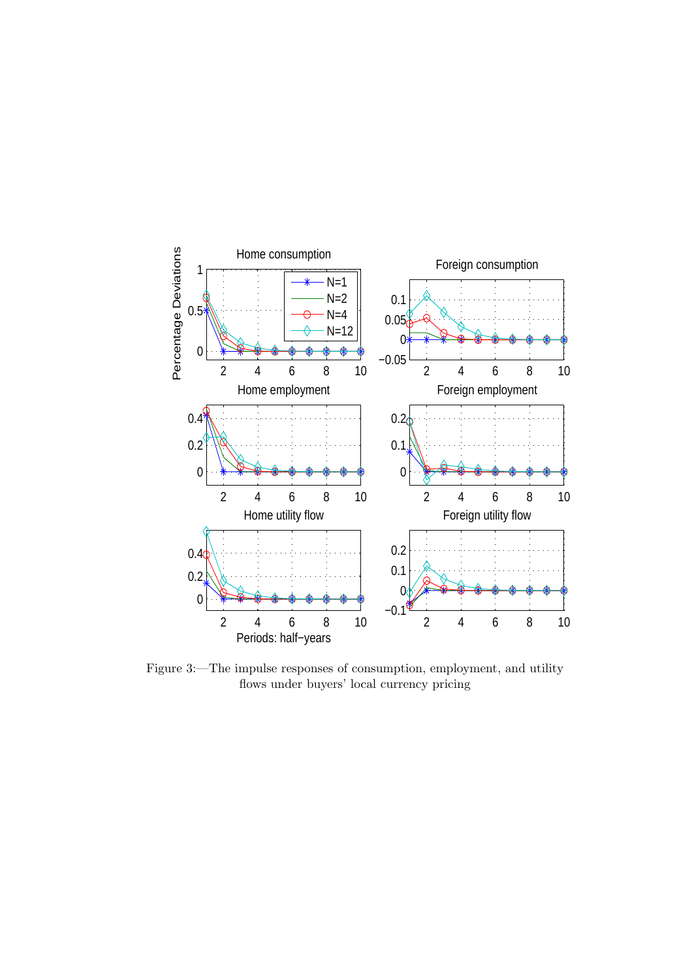

Figure 3:—The impulse responses of consumption, employment, and utility flows under buyers' local currency pricing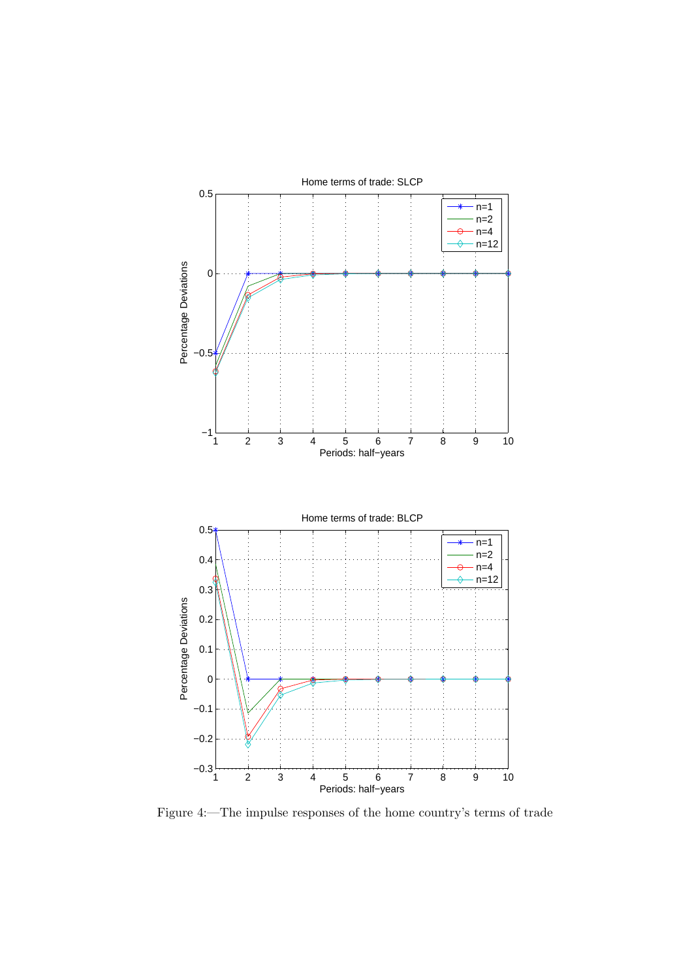

Figure 4:—The impulse responses of the home country's terms of trade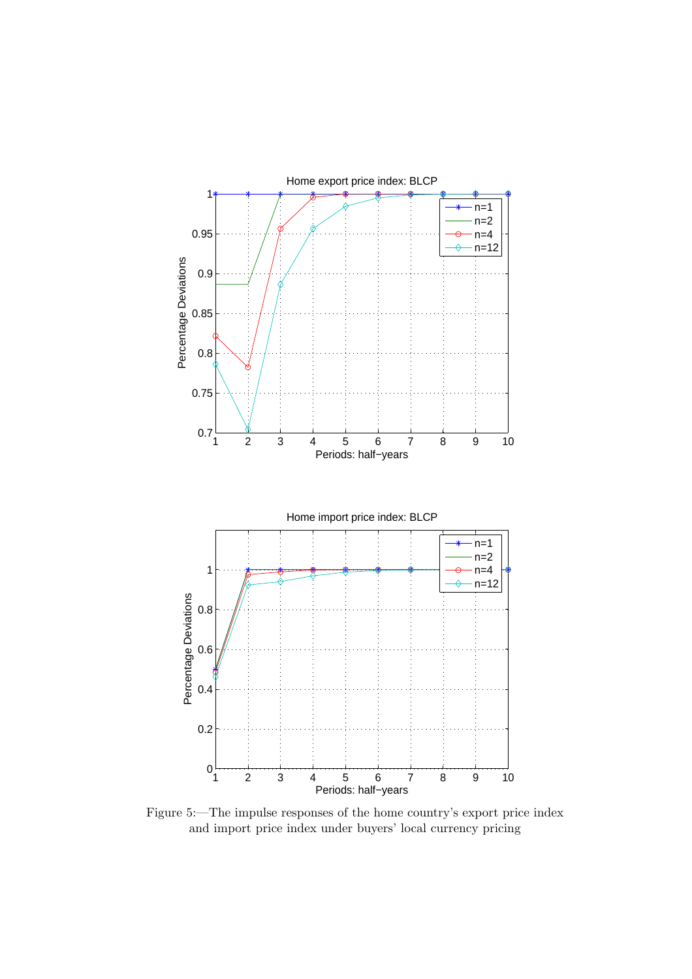

Figure 5:—The impulse responses of the home country's export price index and import price index under buyers' local currency pricing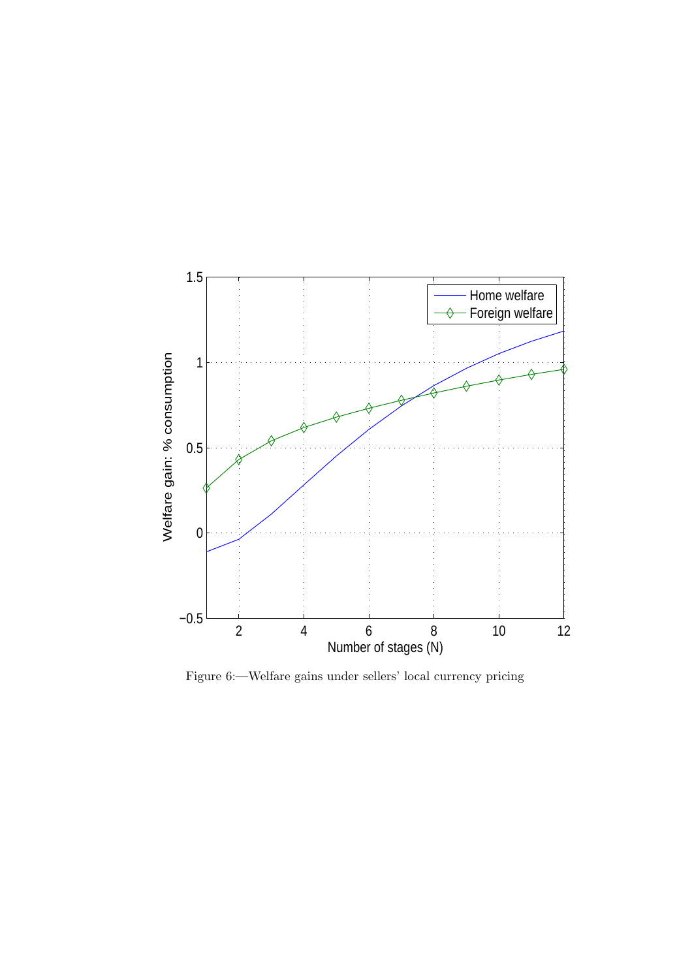

Figure 6:—Welfare gains under sellers' local currency pricing